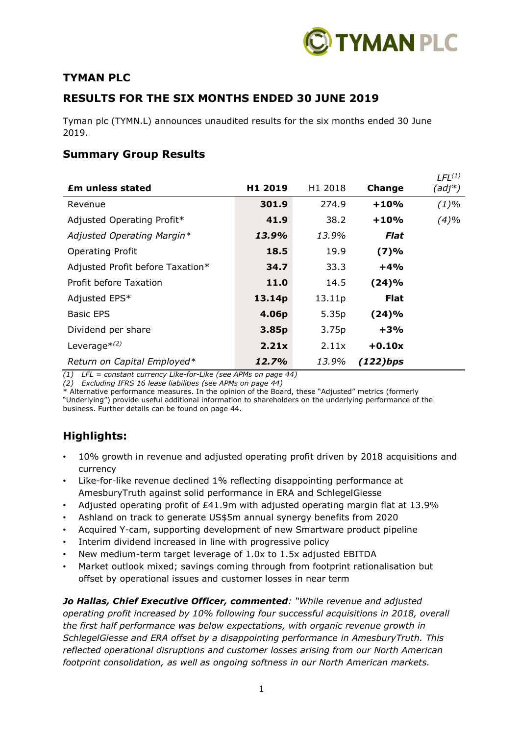

## **TYMAN PLC**

## **RESULTS FOR THE SIX MONTHS ENDED 30 JUNE 2019**

Tyman plc (TYMN.L) announces unaudited results for the six months ended 30 June 2019.

## **Summary Group Results**

|                                  |                     |                     |               | $LEL^{(1)}$ |
|----------------------------------|---------------------|---------------------|---------------|-------------|
| <b>Em unless stated</b>          | H <sub>1</sub> 2019 | H <sub>1</sub> 2018 | <b>Change</b> | $(adj^*)$   |
| Revenue                          | 301.9               | 274.9               | $+10%$        | $(1)\%$     |
| Adjusted Operating Profit*       | 41.9                | 38.2                | $+10%$        | (4)%        |
| Adjusted Operating Margin*       | 13.9%               | 13.9%               | Flat          |             |
| <b>Operating Profit</b>          | 18.5                | 19.9                | (7)%          |             |
| Adjusted Profit before Taxation* | 34.7                | 33.3                | $+4%$         |             |
| Profit before Taxation           | <b>11.0</b>         | 14.5                | (24)%         |             |
| Adjusted EPS*                    | 13.14p              | 13.11p              | <b>Flat</b>   |             |
| <b>Basic EPS</b>                 | 4.06p               | 5.35p               | (24)%         |             |
| Dividend per share               | 3.85p               | 3.75p               | +3%           |             |
| Leverage $*(2)$                  | 2.21x               | 2.11x               | $+0.10x$      |             |
| Return on Capital Employed*      | 12.7%               | 13.9%               | $(122)$ bps   |             |

*(1) LFL = constant currency Like-for-Like (see APMs on page 44)*

*(2) Excluding IFRS 16 lease liabilities (see APMs on page 44)*

\* Alternative performance measures. In the opinion of the Board, these "Adjusted" metrics (formerly "Underlying") provide useful additional information to shareholders on the underlying performance of the business. Further details can be found on page 44.

## **Highlights:**

- 10% growth in revenue and adjusted operating profit driven by 2018 acquisitions and currency
- Like-for-like revenue declined 1% reflecting disappointing performance at AmesburyTruth against solid performance in ERA and SchlegelGiesse
- Adjusted operating profit of £41.9m with adjusted operating margin flat at 13.9%
- Ashland on track to generate US\$5m annual synergy benefits from 2020
- Acquired Y-cam, supporting development of new Smartware product pipeline
- Interim dividend increased in line with progressive policy
- New medium-term target leverage of 1.0x to 1.5x adjusted EBITDA
- Market outlook mixed; savings coming through from footprint rationalisation but offset by operational issues and customer losses in near term

*Jo Hallas, Chief Executive Officer, commented: "While revenue and adjusted operating profit increased by 10% following four successful acquisitions in 2018, overall the first half performance was below expectations, with organic revenue growth in SchlegelGiesse and ERA offset by a disappointing performance in AmesburyTruth. This reflected operational disruptions and customer losses arising from our North American footprint consolidation, as well as ongoing softness in our North American markets.*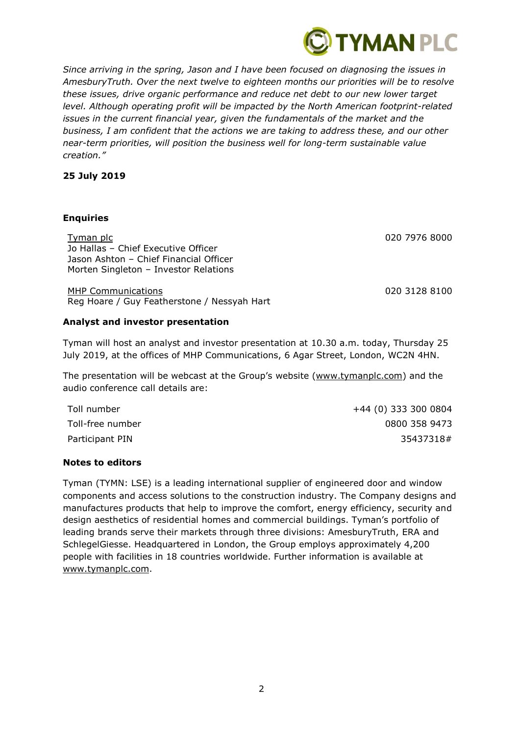

*Since arriving in the spring, Jason and I have been focused on diagnosing the issues in AmesburyTruth. Over the next twelve to eighteen months our priorities will be to resolve these issues, drive organic performance and reduce net debt to our new lower target level. Although operating profit will be impacted by the North American footprint-related issues in the current financial year, given the fundamentals of the market and the business, I am confident that the actions we are taking to address these, and our other near-term priorities, will position the business well for long-term sustainable value creation."*

## **25 July 2019**

#### **Enquiries**

Tyman plc 020 7976 8000 Jo Hallas – Chief Executive Officer Jason Ashton – Chief Financial Officer Morten Singleton – Investor Relations

MHP Communications 020 3128 8100 Reg Hoare / Guy Featherstone / Nessyah Hart

#### **Analyst and investor presentation**

Tyman will host an analyst and investor presentation at 10.30 a.m. today, Thursday 25 July 2019, at the offices of MHP Communications, 6 Agar Street, London, WC2N 4HN.

The presentation will be webcast at the Group's website [\(www.tymanplc.com\)](http://www.tymanplc.com/) and the audio conference call details are:

Toll number +44 (0) 333 300 0804 Toll-free number 0800 358 9473 Participant PIN 35437318 #

## **Notes to editors**

Tyman (TYMN: LSE) is a leading international supplier of engineered door and window components and access solutions to the construction industry. The Company designs and manufactures products that help to improve the comfort, energy efficiency, security and design aesthetics of residential homes and commercial buildings. Tyman's portfolio of leading brands serve their markets through three divisions: AmesburyTruth, ERA and SchlegelGiesse. Headquartered in London, the Group employs approximately 4,200 people with facilities in 18 countries worldwide. Further information is available at [www.tymanplc.com.](http://www.tymanplc.com/)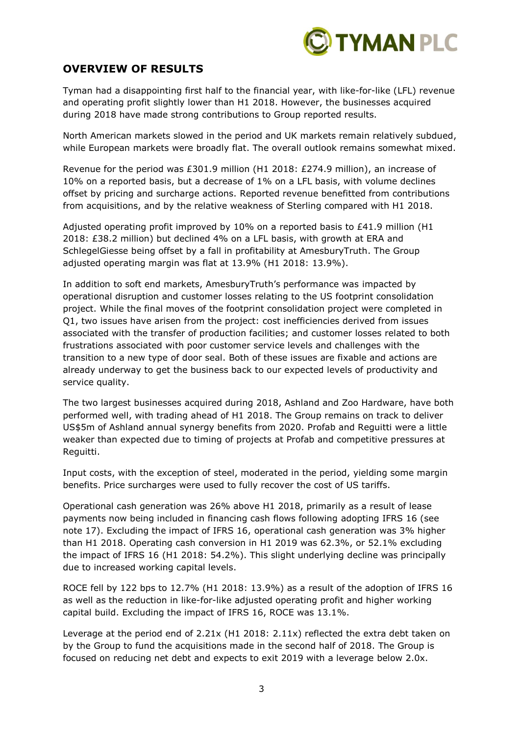

## **OVERVIEW OF RESULTS**

Tyman had a disappointing first half to the financial year, with like-for-like (LFL) revenue and operating profit slightly lower than H1 2018. However, the businesses acquired during 2018 have made strong contributions to Group reported results.

North American markets slowed in the period and UK markets remain relatively subdued, while European markets were broadly flat. The overall outlook remains somewhat mixed.

Revenue for the period was £301.9 million (H1 2018: £274.9 million), an increase of 10% on a reported basis, but a decrease of 1% on a LFL basis, with volume declines offset by pricing and surcharge actions. Reported revenue benefitted from contributions from acquisitions, and by the relative weakness of Sterling compared with H1 2018.

Adjusted operating profit improved by 10% on a reported basis to £41.9 million (H1 2018: £38.2 million) but declined 4% on a LFL basis, with growth at ERA and SchlegelGiesse being offset by a fall in profitability at AmesburyTruth. The Group adjusted operating margin was flat at 13.9% (H1 2018: 13.9%).

In addition to soft end markets, AmesburyTruth's performance was impacted by operational disruption and customer losses relating to the US footprint consolidation project. While the final moves of the footprint consolidation project were completed in Q1, two issues have arisen from the project: cost inefficiencies derived from issues associated with the transfer of production facilities; and customer losses related to both frustrations associated with poor customer service levels and challenges with the transition to a new type of door seal. Both of these issues are fixable and actions are already underway to get the business back to our expected levels of productivity and service quality.

The two largest businesses acquired during 2018, Ashland and Zoo Hardware, have both performed well, with trading ahead of H1 2018. The Group remains on track to deliver US\$5m of Ashland annual synergy benefits from 2020. Profab and Reguitti were a little weaker than expected due to timing of projects at Profab and competitive pressures at Reguitti.

Input costs, with the exception of steel, moderated in the period, yielding some margin benefits. Price surcharges were used to fully recover the cost of US tariffs.

Operational cash generation was 26% above H1 2018, primarily as a result of lease payments now being included in financing cash flows following adopting IFRS 16 (see note 17). Excluding the impact of IFRS 16, operational cash generation was 3% higher than H1 2018. Operating cash conversion in H1 2019 was 62.3%, or 52.1% excluding the impact of IFRS 16 (H1 2018: 54.2%). This slight underlying decline was principally due to increased working capital levels.

ROCE fell by 122 bps to 12.7% (H1 2018: 13.9%) as a result of the adoption of IFRS 16 as well as the reduction in like-for-like adjusted operating profit and higher working capital build. Excluding the impact of IFRS 16, ROCE was 13.1%.

Leverage at the period end of 2.21x (H1 2018: 2.11x) reflected the extra debt taken on by the Group to fund the acquisitions made in the second half of 2018. The Group is focused on reducing net debt and expects to exit 2019 with a leverage below 2.0x.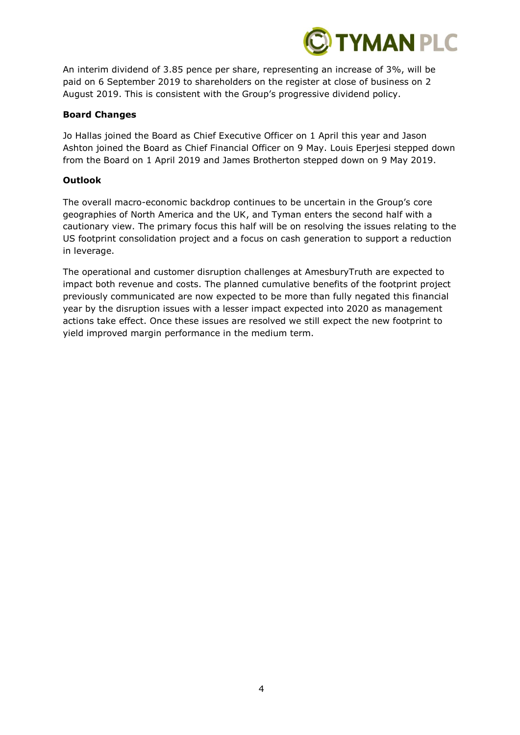

An interim dividend of 3.85 pence per share, representing an increase of 3%, will be paid on 6 September 2019 to shareholders on the register at close of business on 2 August 2019. This is consistent with the Group's progressive dividend policy.

#### **Board Changes**

Jo Hallas joined the Board as Chief Executive Officer on 1 April this year and Jason Ashton joined the Board as Chief Financial Officer on 9 May. Louis Eperjesi stepped down from the Board on 1 April 2019 and James Brotherton stepped down on 9 May 2019.

#### **Outlook**

The overall macro-economic backdrop continues to be uncertain in the Group's core geographies of North America and the UK, and Tyman enters the second half with a cautionary view. The primary focus this half will be on resolving the issues relating to the US footprint consolidation project and a focus on cash generation to support a reduction in leverage.

The operational and customer disruption challenges at AmesburyTruth are expected to impact both revenue and costs. The planned cumulative benefits of the footprint project previously communicated are now expected to be more than fully negated this financial year by the disruption issues with a lesser impact expected into 2020 as management actions take effect. Once these issues are resolved we still expect the new footprint to yield improved margin performance in the medium term.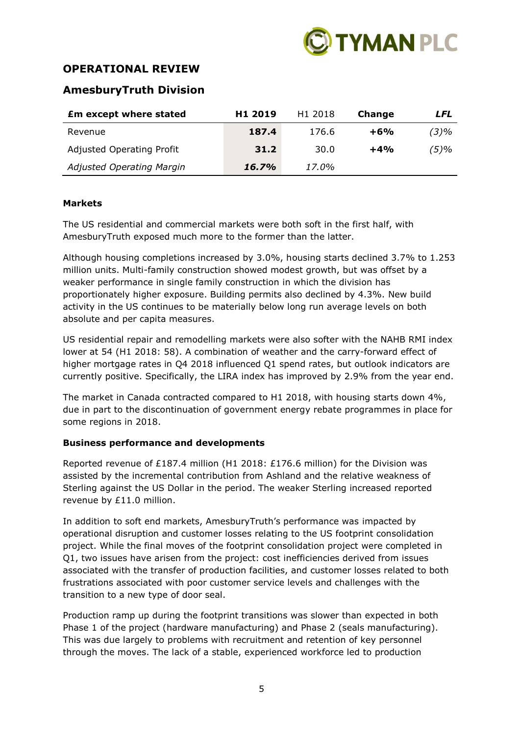

## **OPERATIONAL REVIEW**

## **AmesburyTruth Division**

| <b>£m except where stated</b>    | H <sub>1</sub> 2019 | H <sub>1</sub> 2018 | Change | LFL     |
|----------------------------------|---------------------|---------------------|--------|---------|
| Revenue                          | 187.4               | 176.6               | $+6%$  | $(3)\%$ |
| <b>Adjusted Operating Profit</b> | 31.2                | 30.0                | $+4%$  | (5)%    |
| Adjusted Operating Margin        | 16.7%               | 17.0%               |        |         |

## **Markets**

The US residential and commercial markets were both soft in the first half, with AmesburyTruth exposed much more to the former than the latter.

Although housing completions increased by 3.0%, housing starts declined 3.7% to 1.253 million units. Multi-family construction showed modest growth, but was offset by a weaker performance in single family construction in which the division has proportionately higher exposure. Building permits also declined by 4.3%. New build activity in the US continues to be materially below long run average levels on both absolute and per capita measures.

US residential repair and remodelling markets were also softer with the NAHB RMI index lower at 54 (H1 2018: 58). A combination of weather and the carry-forward effect of higher mortgage rates in Q4 2018 influenced Q1 spend rates, but outlook indicators are currently positive. Specifically, the LIRA index has improved by 2.9% from the year end.

The market in Canada contracted compared to H1 2018, with housing starts down 4%, due in part to the discontinuation of government energy rebate programmes in place for some regions in 2018.

## **Business performance and developments**

Reported revenue of £187.4 million (H1 2018: £176.6 million) for the Division was assisted by the incremental contribution from Ashland and the relative weakness of Sterling against the US Dollar in the period. The weaker Sterling increased reported revenue by £11.0 million.

In addition to soft end markets, AmesburyTruth's performance was impacted by operational disruption and customer losses relating to the US footprint consolidation project. While the final moves of the footprint consolidation project were completed in Q1, two issues have arisen from the project: cost inefficiencies derived from issues associated with the transfer of production facilities, and customer losses related to both frustrations associated with poor customer service levels and challenges with the transition to a new type of door seal.

Production ramp up during the footprint transitions was slower than expected in both Phase 1 of the project (hardware manufacturing) and Phase 2 (seals manufacturing). This was due largely to problems with recruitment and retention of key personnel through the moves. The lack of a stable, experienced workforce led to production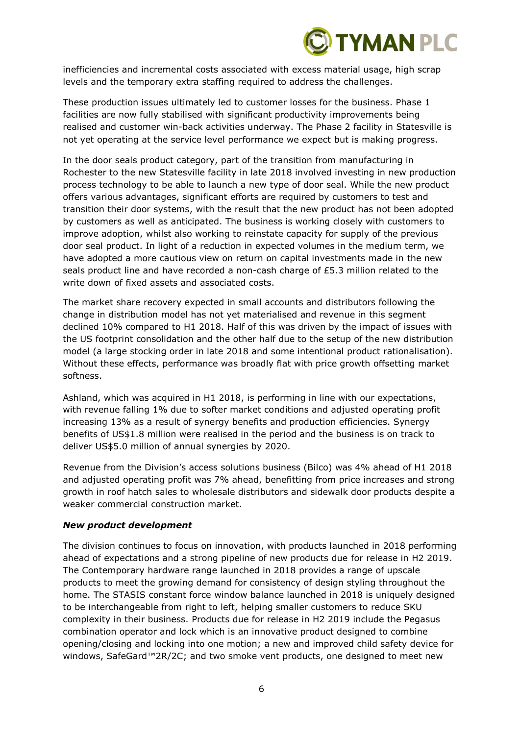

inefficiencies and incremental costs associated with excess material usage, high scrap levels and the temporary extra staffing required to address the challenges.

These production issues ultimately led to customer losses for the business. Phase 1 facilities are now fully stabilised with significant productivity improvements being realised and customer win-back activities underway. The Phase 2 facility in Statesville is not yet operating at the service level performance we expect but is making progress.

In the door seals product category, part of the transition from manufacturing in Rochester to the new Statesville facility in late 2018 involved investing in new production process technology to be able to launch a new type of door seal. While the new product offers various advantages, significant efforts are required by customers to test and transition their door systems, with the result that the new product has not been adopted by customers as well as anticipated. The business is working closely with customers to improve adoption, whilst also working to reinstate capacity for supply of the previous door seal product. In light of a reduction in expected volumes in the medium term, we have adopted a more cautious view on return on capital investments made in the new seals product line and have recorded a non-cash charge of £5.3 million related to the write down of fixed assets and associated costs.

The market share recovery expected in small accounts and distributors following the change in distribution model has not yet materialised and revenue in this segment declined 10% compared to H1 2018. Half of this was driven by the impact of issues with the US footprint consolidation and the other half due to the setup of the new distribution model (a large stocking order in late 2018 and some intentional product rationalisation). Without these effects, performance was broadly flat with price growth offsetting market softness.

Ashland, which was acquired in H1 2018, is performing in line with our expectations, with revenue falling 1% due to softer market conditions and adjusted operating profit increasing 13% as a result of synergy benefits and production efficiencies. Synergy benefits of US\$1.8 million were realised in the period and the business is on track to deliver US\$5.0 million of annual synergies by 2020.

Revenue from the Division's access solutions business (Bilco) was 4% ahead of H1 2018 and adjusted operating profit was 7% ahead, benefitting from price increases and strong growth in roof hatch sales to wholesale distributors and sidewalk door products despite a weaker commercial construction market.

#### *New product development*

The division continues to focus on innovation, with products launched in 2018 performing ahead of expectations and a strong pipeline of new products due for release in H2 2019. The Contemporary hardware range launched in 2018 provides a range of upscale products to meet the growing demand for consistency of design styling throughout the home. The STASIS constant force window balance launched in 2018 is uniquely designed to be interchangeable from right to left, helping smaller customers to reduce SKU complexity in their business. Products due for release in H2 2019 include the Pegasus combination operator and lock which is an innovative product designed to combine opening/closing and locking into one motion; a new and improved child safety device for windows, SafeGard™2R/2C; and two smoke vent products, one designed to meet new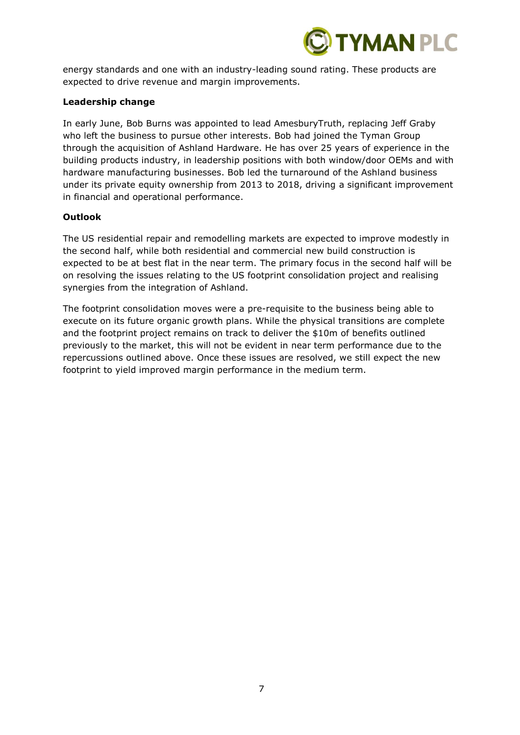

energy standards and one with an industry-leading sound rating. These products are expected to drive revenue and margin improvements.

### **Leadership change**

In early June, Bob Burns was appointed to lead AmesburyTruth, replacing Jeff Graby who left the business to pursue other interests. Bob had joined the Tyman Group through the acquisition of Ashland Hardware. He has over 25 years of experience in the building products industry, in leadership positions with both window/door OEMs and with hardware manufacturing businesses. Bob led the turnaround of the Ashland business under its private equity ownership from 2013 to 2018, driving a significant improvement in financial and operational performance.

#### **Outlook**

The US residential repair and remodelling markets are expected to improve modestly in the second half, while both residential and commercial new build construction is expected to be at best flat in the near term. The primary focus in the second half will be on resolving the issues relating to the US footprint consolidation project and realising synergies from the integration of Ashland.

The footprint consolidation moves were a pre-requisite to the business being able to execute on its future organic growth plans. While the physical transitions are complete and the footprint project remains on track to deliver the \$10m of benefits outlined previously to the market, this will not be evident in near term performance due to the repercussions outlined above. Once these issues are resolved, we still expect the new footprint to yield improved margin performance in the medium term.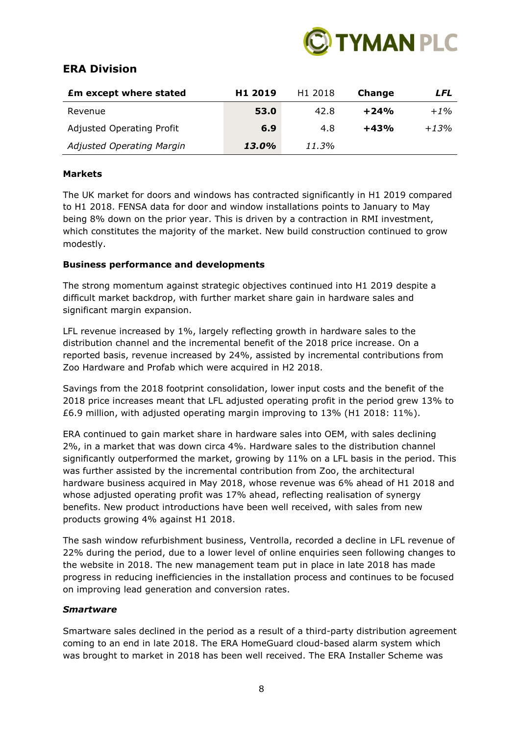

## **ERA Division**

| <b>Em except where stated</b>    | H <sub>1</sub> 2019 | H <sub>1</sub> 2018 | Change | LFL     |
|----------------------------------|---------------------|---------------------|--------|---------|
| Revenue                          | 53.0                | 42.8                | $+24%$ | $+1\%$  |
| <b>Adjusted Operating Profit</b> | 6.9                 | 4.8                 | $+43%$ | $+1.3%$ |
| <b>Adjusted Operating Margin</b> | 13.0%               | 11.3%               |        |         |

## **Markets**

The UK market for doors and windows has contracted significantly in H1 2019 compared to H1 2018. FENSA data for door and window installations points to January to May being 8% down on the prior year. This is driven by a contraction in RMI investment, which constitutes the majority of the market. New build construction continued to grow modestly.

## **Business performance and developments**

The strong momentum against strategic objectives continued into H1 2019 despite a difficult market backdrop, with further market share gain in hardware sales and significant margin expansion.

LFL revenue increased by 1%, largely reflecting growth in hardware sales to the distribution channel and the incremental benefit of the 2018 price increase. On a reported basis, revenue increased by 24%, assisted by incremental contributions from Zoo Hardware and Profab which were acquired in H2 2018.

Savings from the 2018 footprint consolidation, lower input costs and the benefit of the 2018 price increases meant that LFL adjusted operating profit in the period grew 13% to £6.9 million, with adjusted operating margin improving to 13% (H1 2018: 11%).

ERA continued to gain market share in hardware sales into OEM, with sales declining 2%, in a market that was down circa 4%. Hardware sales to the distribution channel significantly outperformed the market, growing by 11% on a LFL basis in the period. This was further assisted by the incremental contribution from Zoo, the architectural hardware business acquired in May 2018, whose revenue was 6% ahead of H1 2018 and whose adjusted operating profit was 17% ahead, reflecting realisation of synergy benefits. New product introductions have been well received, with sales from new products growing 4% against H1 2018.

The sash window refurbishment business, Ventrolla, recorded a decline in LFL revenue of 22% during the period, due to a lower level of online enquiries seen following changes to the website in 2018. The new management team put in place in late 2018 has made progress in reducing inefficiencies in the installation process and continues to be focused on improving lead generation and conversion rates.

## *Smartware*

Smartware sales declined in the period as a result of a third-party distribution agreement coming to an end in late 2018. The ERA HomeGuard cloud-based alarm system which was brought to market in 2018 has been well received. The ERA Installer Scheme was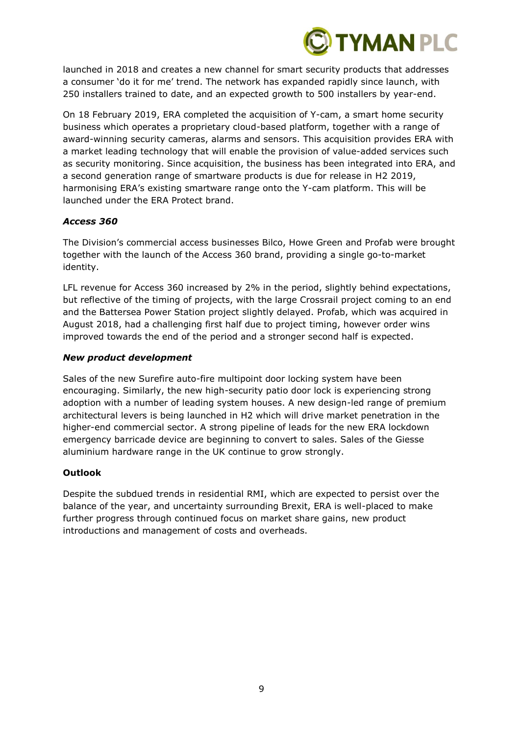

launched in 2018 and creates a new channel for smart security products that addresses a consumer 'do it for me' trend. The network has expanded rapidly since launch, with 250 installers trained to date, and an expected growth to 500 installers by year-end.

On 18 February 2019, ERA completed the acquisition of Y-cam, a smart home security business which operates a proprietary cloud-based platform, together with a range of award-winning security cameras, alarms and sensors. This acquisition provides ERA with a market leading technology that will enable the provision of value-added services such as security monitoring. Since acquisition, the business has been integrated into ERA, and a second generation range of smartware products is due for release in H2 2019, harmonising ERA's existing smartware range onto the Y-cam platform. This will be launched under the ERA Protect brand.

## *Access 360*

The Division's commercial access businesses Bilco, Howe Green and Profab were brought together with the launch of the Access 360 brand, providing a single go-to-market identity.

LFL revenue for Access 360 increased by 2% in the period, slightly behind expectations, but reflective of the timing of projects, with the large Crossrail project coming to an end and the Battersea Power Station project slightly delayed. Profab, which was acquired in August 2018, had a challenging first half due to project timing, however order wins improved towards the end of the period and a stronger second half is expected.

## *New product development*

Sales of the new Surefire auto-fire multipoint door locking system have been encouraging. Similarly, the new high-security patio door lock is experiencing strong adoption with a number of leading system houses. A new design-led range of premium architectural levers is being launched in H2 which will drive market penetration in the higher-end commercial sector. A strong pipeline of leads for the new ERA lockdown emergency barricade device are beginning to convert to sales. Sales of the Giesse aluminium hardware range in the UK continue to grow strongly.

## **Outlook**

Despite the subdued trends in residential RMI, which are expected to persist over the balance of the year, and uncertainty surrounding Brexit, ERA is well-placed to make further progress through continued focus on market share gains, new product introductions and management of costs and overheads.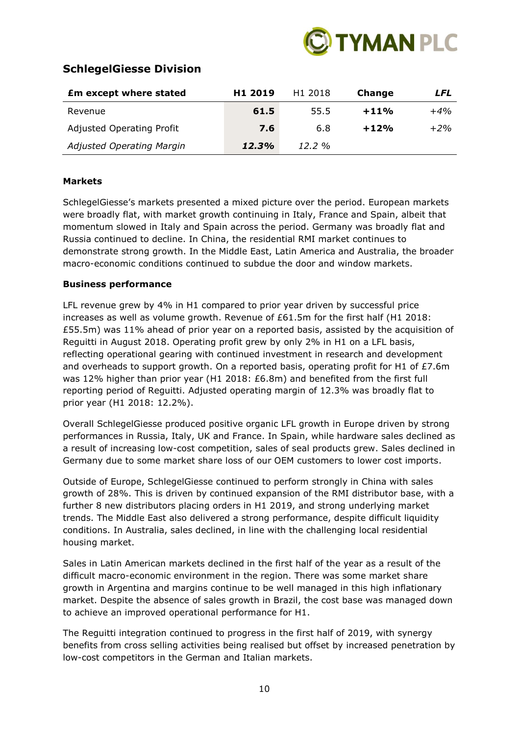

## **SchlegelGiesse Division**

| <b>£m except where stated</b>    | H <sub>1</sub> 2019 | H <sub>1</sub> 2018 | Change | LFL   |
|----------------------------------|---------------------|---------------------|--------|-------|
| Revenue                          | 61.5                | 55.5                | $+11%$ | $+4%$ |
| <b>Adjusted Operating Profit</b> | 7.6                 | 6.8                 | $+12%$ | $+2%$ |
| <b>Adjusted Operating Margin</b> | 12.3%               | $12.2\%$            |        |       |

## **Markets**

SchlegelGiesse's markets presented a mixed picture over the period. European markets were broadly flat, with market growth continuing in Italy, France and Spain, albeit that momentum slowed in Italy and Spain across the period. Germany was broadly flat and Russia continued to decline. In China, the residential RMI market continues to demonstrate strong growth. In the Middle East, Latin America and Australia, the broader macro-economic conditions continued to subdue the door and window markets.

## **Business performance**

LFL revenue grew by 4% in H1 compared to prior year driven by successful price increases as well as volume growth. Revenue of £61.5m for the first half (H1 2018: £55.5m) was 11% ahead of prior year on a reported basis, assisted by the acquisition of Reguitti in August 2018. Operating profit grew by only 2% in H1 on a LFL basis, reflecting operational gearing with continued investment in research and development and overheads to support growth. On a reported basis, operating profit for H1 of  $£7.6m$ was 12% higher than prior year (H1 2018: £6.8m) and benefited from the first full reporting period of Reguitti. Adjusted operating margin of 12.3% was broadly flat to prior year (H1 2018: 12.2%).

Overall SchlegelGiesse produced positive organic LFL growth in Europe driven by strong performances in Russia, Italy, UK and France. In Spain, while hardware sales declined as a result of increasing low-cost competition, sales of seal products grew. Sales declined in Germany due to some market share loss of our OEM customers to lower cost imports.

Outside of Europe, SchlegelGiesse continued to perform strongly in China with sales growth of 28%. This is driven by continued expansion of the RMI distributor base, with a further 8 new distributors placing orders in H1 2019, and strong underlying market trends. The Middle East also delivered a strong performance, despite difficult liquidity conditions. In Australia, sales declined, in line with the challenging local residential housing market.

Sales in Latin American markets declined in the first half of the year as a result of the difficult macro-economic environment in the region. There was some market share growth in Argentina and margins continue to be well managed in this high inflationary market. Despite the absence of sales growth in Brazil, the cost base was managed down to achieve an improved operational performance for H1.

The Reguitti integration continued to progress in the first half of 2019, with synergy benefits from cross selling activities being realised but offset by increased penetration by low-cost competitors in the German and Italian markets.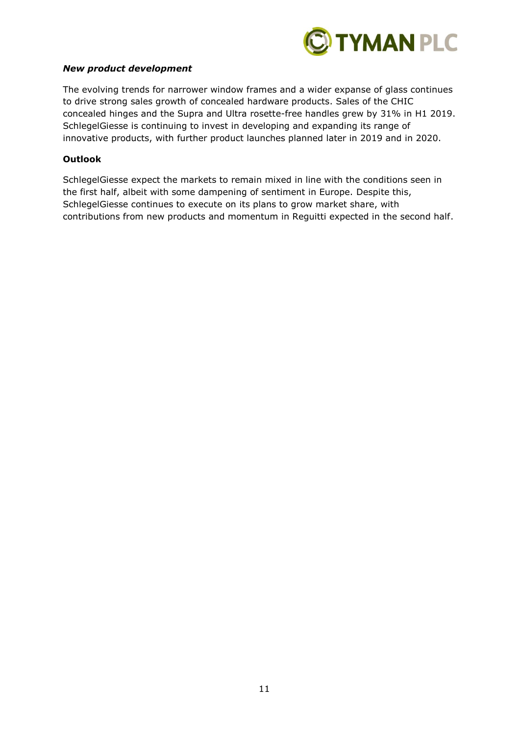

### *New product development*

The evolving trends for narrower window frames and a wider expanse of glass continues to drive strong sales growth of concealed hardware products. Sales of the CHIC concealed hinges and the Supra and Ultra rosette-free handles grew by 31% in H1 2019. SchlegelGiesse is continuing to invest in developing and expanding its range of innovative products, with further product launches planned later in 2019 and in 2020.

#### **Outlook**

SchlegelGiesse expect the markets to remain mixed in line with the conditions seen in the first half, albeit with some dampening of sentiment in Europe. Despite this, SchlegelGiesse continues to execute on its plans to grow market share, with contributions from new products and momentum in Reguitti expected in the second half.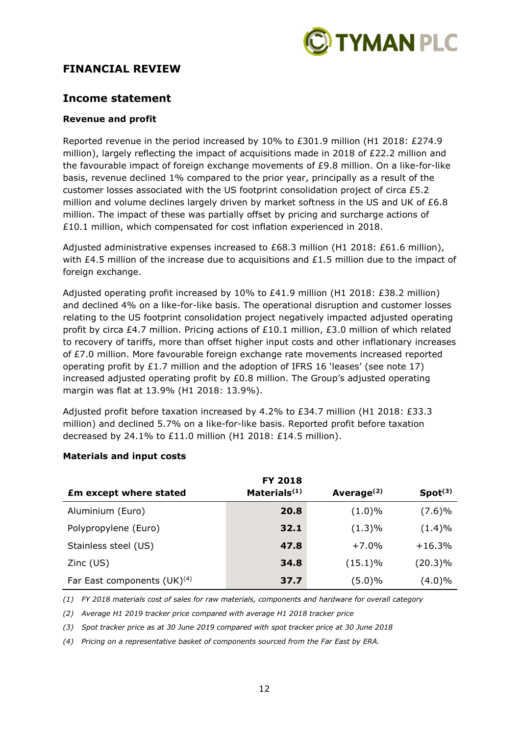

## **FINANCIAL REVIEW**

## **Income statement**

### **Revenue and profit**

Reported revenue in the period increased by 10% to £301.9 million (H1 2018: £274.9 million), largely reflecting the impact of acquisitions made in 2018 of £22.2 million and the favourable impact of foreign exchange movements of £9.8 million. On a like-for-like basis, revenue declined 1% compared to the prior year, principally as a result of the customer losses associated with the US footprint consolidation project of circa £5.2 million and volume declines largely driven by market softness in the US and UK of  $£6.8$ million. The impact of these was partially offset by pricing and surcharge actions of £10.1 million, which compensated for cost inflation experienced in 2018.

Adjusted administrative expenses increased to £68.3 million (H1 2018: £61.6 million), with £4.5 million of the increase due to acquisitions and £1.5 million due to the impact of foreign exchange.

Adjusted operating profit increased by 10% to £41.9 million (H1 2018: £38.2 million) and declined 4% on a like-for-like basis. The operational disruption and customer losses relating to the US footprint consolidation project negatively impacted adjusted operating profit by circa £4.7 million. Pricing actions of £10.1 million, £3.0 million of which related to recovery of tariffs, more than offset higher input costs and other inflationary increases of £7.0 million. More favourable foreign exchange rate movements increased reported operating profit by £1.7 million and the adoption of IFRS 16 'leases' (see note 17) increased adjusted operating profit by £0.8 million. The Group's adjusted operating margin was flat at 13.9% (H1 2018: 13.9%).

Adjusted profit before taxation increased by 4.2% to £34.7 million (H1 2018: £33.3 million) and declined 5.7% on a like-for-like basis. Reported profit before taxation decreased by 24.1% to £11.0 million (H1 2018: £14.5 million).

|                                         | <b>FY 2018</b>  |               |                     |
|-----------------------------------------|-----------------|---------------|---------------------|
| <b>£m except where stated</b>           | Materials $(1)$ | Average $(2)$ | Spot <sup>(3)</sup> |
| Aluminium (Euro)                        | 20.8            | $(1.0)\%$     | (7.6)%              |
| Polypropylene (Euro)                    | 32.1            | $(1.3)\%$     | $(1.4)\%$           |
| Stainless steel (US)                    | 47.8            | $+7.0%$       | $+16.3%$            |
| $Zinc$ (US)                             | 34.8            | $(15.1)\%$    | $(20.3)\%$          |
| Far East components (UK) <sup>(4)</sup> | 37.7            | $(5.0)\%$     | $(4.0)\%$           |

## **Materials and input costs**

*(1) FY 2018 materials cost of sales for raw materials, components and hardware for overall category*

*(2) Average H1 2019 tracker price compared with average H1 2018 tracker price* 

*(3) Spot tracker price as at 30 June 2019 compared with spot tracker price at 30 June 2018*

*(4) Pricing on a representative basket of components sourced from the Far East by ERA.*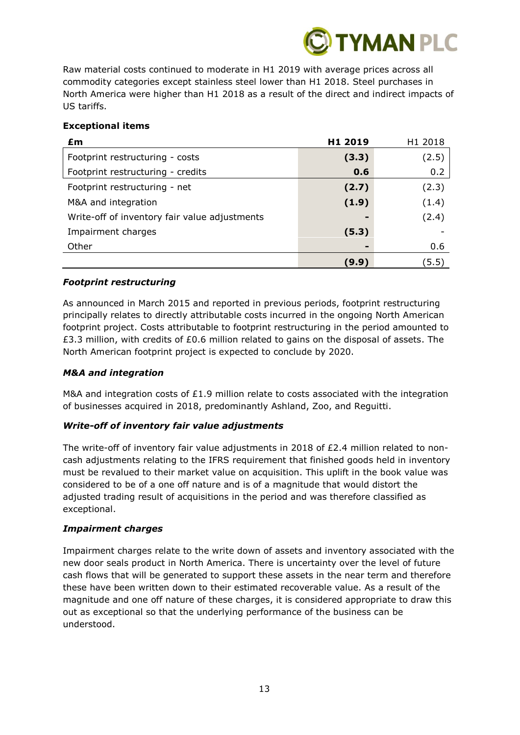

Raw material costs continued to moderate in H1 2019 with average prices across all commodity categories except stainless steel lower than H1 2018. Steel purchases in North America were higher than H1 2018 as a result of the direct and indirect impacts of US tariffs.

## **Exceptional items**

| £m                                            | H1 2019 | H1 2018 |
|-----------------------------------------------|---------|---------|
| Footprint restructuring - costs               | (3.3)   | (2.5)   |
| Footprint restructuring - credits             | 0.6     | 0.2     |
| Footprint restructuring - net                 | (2.7)   | (2.3)   |
| M&A and integration                           | (1.9)   | (1.4)   |
| Write-off of inventory fair value adjustments |         | (2.4)   |
| Impairment charges                            | (5.3)   |         |
| Other                                         |         | 0.6     |
|                                               | (9.9)   | (5.5)   |

## *Footprint restructuring*

As announced in March 2015 and reported in previous periods, footprint restructuring principally relates to directly attributable costs incurred in the ongoing North American footprint project. Costs attributable to footprint restructuring in the period amounted to £3.3 million, with credits of £0.6 million related to gains on the disposal of assets. The North American footprint project is expected to conclude by 2020.

## *M&A and integration*

M&A and integration costs of £1.9 million relate to costs associated with the integration of businesses acquired in 2018, predominantly Ashland, Zoo, and Reguitti.

## *Write-off of inventory fair value adjustments*

The write-off of inventory fair value adjustments in 2018 of £2.4 million related to noncash adjustments relating to the IFRS requirement that finished goods held in inventory must be revalued to their market value on acquisition. This uplift in the book value was considered to be of a one off nature and is of a magnitude that would distort the adjusted trading result of acquisitions in the period and was therefore classified as exceptional.

## *Impairment charges*

Impairment charges relate to the write down of assets and inventory associated with the new door seals product in North America. There is uncertainty over the level of future cash flows that will be generated to support these assets in the near term and therefore these have been written down to their estimated recoverable value. As a result of the magnitude and one off nature of these charges, it is considered appropriate to draw this out as exceptional so that the underlying performance of the business can be understood.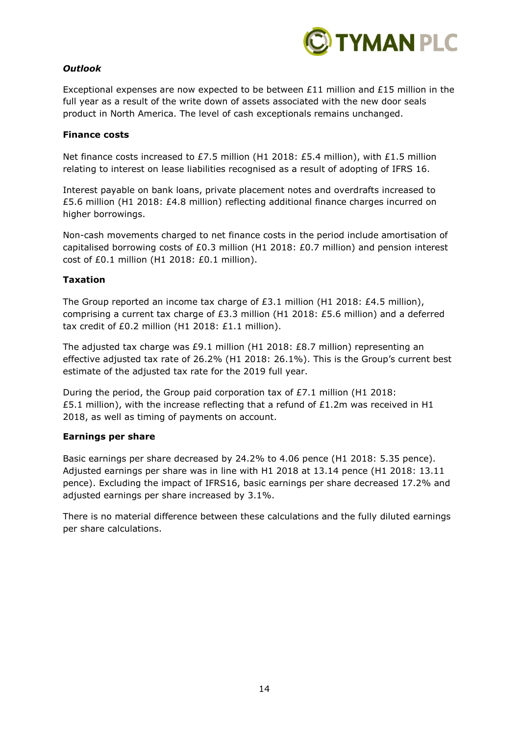

## *Outlook*

Exceptional expenses are now expected to be between  $£11$  million and  $£15$  million in the full year as a result of the write down of assets associated with the new door seals product in North America. The level of cash exceptionals remains unchanged.

### **Finance costs**

Net finance costs increased to £7.5 million (H1 2018: £5.4 million), with £1.5 million relating to interest on lease liabilities recognised as a result of adopting of IFRS 16.

Interest payable on bank loans, private placement notes and overdrafts increased to £5.6 million (H1 2018: £4.8 million) reflecting additional finance charges incurred on higher borrowings.

Non-cash movements charged to net finance costs in the period include amortisation of capitalised borrowing costs of £0.3 million (H1 2018: £0.7 million) and pension interest cost of £0.1 million (H1 2018: £0.1 million).

#### **Taxation**

The Group reported an income tax charge of  $E3.1$  million (H1 2018: £4.5 million), comprising a current tax charge of £3.3 million (H1 2018: £5.6 million) and a deferred tax credit of £0.2 million (H1 2018: £1.1 million).

The adjusted tax charge was £9.1 million (H1 2018: £8.7 million) representing an effective adjusted tax rate of 26.2% (H1 2018: 26.1%). This is the Group's current best estimate of the adjusted tax rate for the 2019 full year.

During the period, the Group paid corporation tax of £7.1 million (H1 2018: £5.1 million), with the increase reflecting that a refund of £1.2m was received in H1 2018, as well as timing of payments on account.

## **Earnings per share**

Basic earnings per share decreased by 24.2% to 4.06 pence (H1 2018: 5.35 pence). Adjusted earnings per share was in line with H1 2018 at 13.14 pence (H1 2018: 13.11 pence). Excluding the impact of IFRS16, basic earnings per share decreased 17.2% and adjusted earnings per share increased by 3.1%.

There is no material difference between these calculations and the fully diluted earnings per share calculations.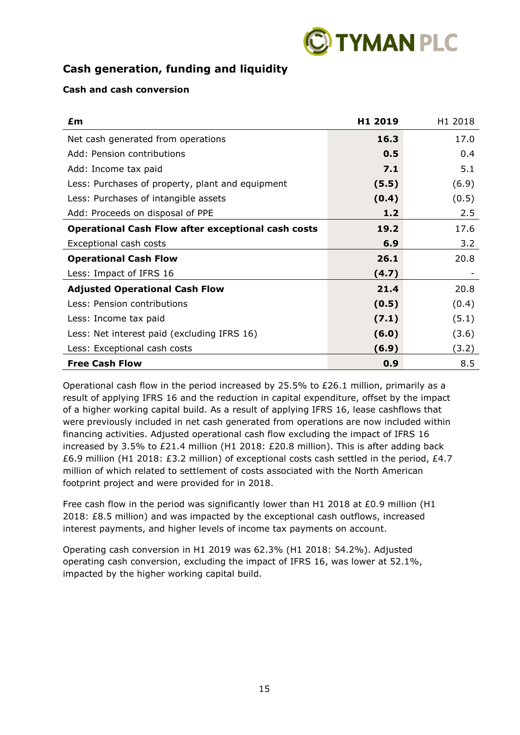

## **Cash generation, funding and liquidity**

## **Cash and cash conversion**

| £m                                                        | H1 2019 | H <sub>1</sub> 2018 |
|-----------------------------------------------------------|---------|---------------------|
| Net cash generated from operations                        | 16.3    | 17.0                |
| Add: Pension contributions                                | 0.5     | 0.4                 |
| Add: Income tax paid                                      | 7.1     | 5.1                 |
| Less: Purchases of property, plant and equipment          | (5.5)   | (6.9)               |
| Less: Purchases of intangible assets                      | (0.4)   | (0.5)               |
| Add: Proceeds on disposal of PPE                          | $1.2$   | 2.5                 |
| <b>Operational Cash Flow after exceptional cash costs</b> | 19.2    | 17.6                |
| Exceptional cash costs                                    | 6.9     | 3.2                 |
| <b>Operational Cash Flow</b>                              | 26.1    | 20.8                |
| Less: Impact of IFRS 16                                   | (4.7)   |                     |
| <b>Adjusted Operational Cash Flow</b>                     | 21.4    | 20.8                |
| Less: Pension contributions                               | (0.5)   | (0.4)               |
| Less: Income tax paid                                     | (7.1)   | (5.1)               |
| Less: Net interest paid (excluding IFRS 16)               | (6.0)   | (3.6)               |
| Less: Exceptional cash costs                              | (6.9)   | (3.2)               |
| <b>Free Cash Flow</b>                                     | 0.9     | 8.5                 |

Operational cash flow in the period increased by 25.5% to £26.1 million, primarily as a result of applying IFRS 16 and the reduction in capital expenditure, offset by the impact of a higher working capital build. As a result of applying IFRS 16, lease cashflows that were previously included in net cash generated from operations are now included within financing activities. Adjusted operational cash flow excluding the impact of IFRS 16 increased by 3.5% to £21.4 million (H1 2018: £20.8 million). This is after adding back £6.9 million (H1 2018: £3.2 million) of exceptional costs cash settled in the period, £4.7 million of which related to settlement of costs associated with the North American footprint project and were provided for in 2018.

Free cash flow in the period was significantly lower than H1 2018 at £0.9 million (H1 2018: £8.5 million) and was impacted by the exceptional cash outflows, increased interest payments, and higher levels of income tax payments on account.

Operating cash conversion in H1 2019 was 62.3% (H1 2018: 54.2%). Adjusted operating cash conversion, excluding the impact of IFRS 16, was lower at 52.1%, impacted by the higher working capital build.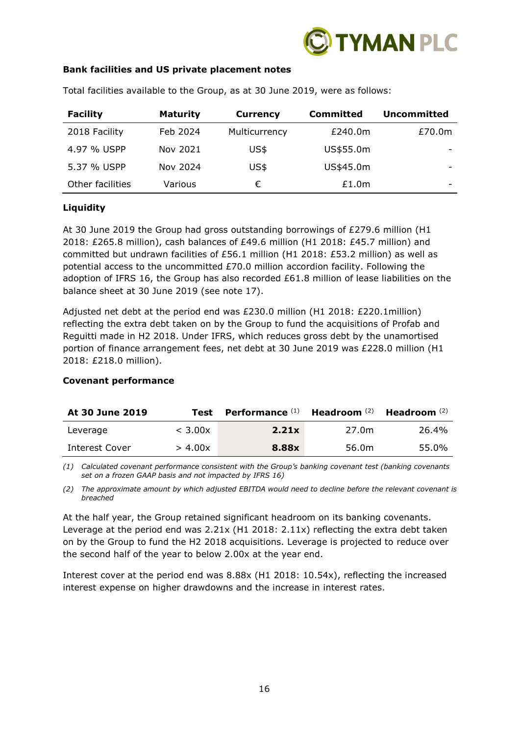

### **Bank facilities and US private placement notes**

| <b>Facility</b>  | <b>Maturity</b> | <b>Currency</b> | <b>Committed</b> | <b>Uncommitted</b> |
|------------------|-----------------|-----------------|------------------|--------------------|
| 2018 Facility    | Feb 2024        | Multicurrency   | £240.0m          | £70.0m             |
| 4.97 % USPP      | Nov 2021        | US\$            | US\$55.0m        |                    |
| 5.37 % USPP      | Nov 2024        | US\$            | US\$45.0m        | -                  |
| Other facilities | Various         | €               | £1.0m            | -                  |

Total facilities available to the Group, as at 30 June 2019, were as follows:

## **Liquidity**

At 30 June 2019 the Group had gross outstanding borrowings of £279.6 million (H1 2018: £265.8 million), cash balances of £49.6 million (H1 2018: £45.7 million) and committed but undrawn facilities of £56.1 million (H1 2018: £53.2 million) as well as potential access to the uncommitted £70.0 million accordion facility. Following the adoption of IFRS 16, the Group has also recorded £61.8 million of lease liabilities on the balance sheet at 30 June 2019 (see note 17).

Adjusted net debt at the period end was £230.0 million (H1 2018: £220.1million) reflecting the extra debt taken on by the Group to fund the acquisitions of Profab and Reguitti made in H2 2018. Under IFRS, which reduces gross debt by the unamortised portion of finance arrangement fees, net debt at 30 June 2019 was £228.0 million (H1 2018: £218.0 million).

| At 30 June 2019 | Test    | Performance <sup>(1)</sup> | Headroom $(2)$ | Headroom <sup>(2)</sup> |
|-----------------|---------|----------------------------|----------------|-------------------------|
| Leverage        | < 3.00x | 2.21x                      | 27.0m          | 26.4%                   |
| Interest Cover  | > 4.00x | 8.88x                      | 56.0m          | 55.0%                   |

#### **Covenant performance**

*(1) Calculated covenant performance consistent with the Group's banking covenant test (banking covenants set on a frozen GAAP basis and not impacted by IFRS 16)*

*(2) The approximate amount by which adjusted EBITDA would need to decline before the relevant covenant is breached*

At the half year, the Group retained significant headroom on its banking covenants. Leverage at the period end was 2.21x (H1 2018: 2.11x) reflecting the extra debt taken on by the Group to fund the H2 2018 acquisitions. Leverage is projected to reduce over the second half of the year to below 2.00x at the year end.

Interest cover at the period end was 8.88x (H1 2018: 10.54x), reflecting the increased interest expense on higher drawdowns and the increase in interest rates.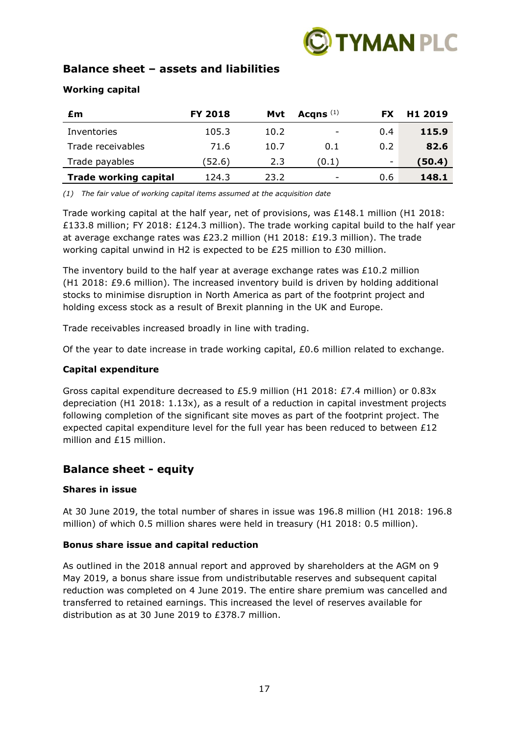

## **Balance sheet – assets and liabilities**

## **Working capital**

| £m                           | <b>FY 2018</b> | Mvt  | Acqns $(1)$              | FX. | H <sub>1</sub> 2019 |
|------------------------------|----------------|------|--------------------------|-----|---------------------|
| Inventories                  | 105.3          | 10.2 | $\overline{\phantom{a}}$ | 0.4 | 115.9               |
| Trade receivables            | 71.6           | 10.7 | 0.1                      | 0.2 | 82.6                |
| Trade payables               | (52.6          | 2.3  | (0.1)                    | ۰   | (50.4)              |
| <b>Trade working capital</b> | 124.3          | 23.2 | $\overline{\phantom{a}}$ | 0.6 | 148.1               |

*(1) The fair value of working capital items assumed at the acquisition date*

Trade working capital at the half year, net of provisions, was £148.1 million (H1 2018: £133.8 million; FY 2018: £124.3 million). The trade working capital build to the half year at average exchange rates was £23.2 million (H1 2018: £19.3 million). The trade working capital unwind in H2 is expected to be £25 million to £30 million.

The inventory build to the half year at average exchange rates was  $£10.2$  million (H1 2018: £9.6 million). The increased inventory build is driven by holding additional stocks to minimise disruption in North America as part of the footprint project and holding excess stock as a result of Brexit planning in the UK and Europe.

Trade receivables increased broadly in line with trading.

Of the year to date increase in trade working capital,  $E0.6$  million related to exchange.

## **Capital expenditure**

Gross capital expenditure decreased to £5.9 million (H1 2018: £7.4 million) or 0.83x depreciation (H1 2018: 1.13x), as a result of a reduction in capital investment projects following completion of the significant site moves as part of the footprint project. The expected capital expenditure level for the full year has been reduced to between £12 million and £15 million.

## **Balance sheet - equity**

## **Shares in issue**

At 30 June 2019, the total number of shares in issue was 196.8 million (H1 2018: 196.8 million) of which 0.5 million shares were held in treasury (H1 2018: 0.5 million).

## **Bonus share issue and capital reduction**

As outlined in the 2018 annual report and approved by shareholders at the AGM on 9 May 2019, a bonus share issue from undistributable reserves and subsequent capital reduction was completed on 4 June 2019. The entire share premium was cancelled and transferred to retained earnings. This increased the level of reserves available for distribution as at 30 June 2019 to £378.7 million.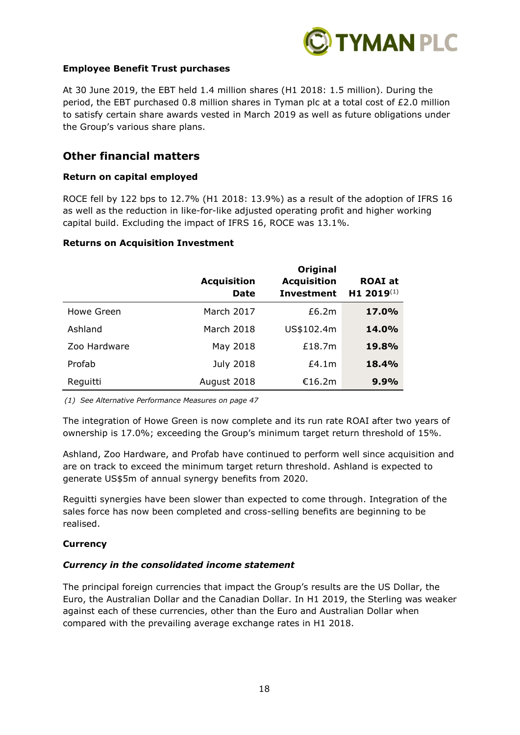

## **Employee Benefit Trust purchases**

At 30 June 2019, the EBT held 1.4 million shares (H1 2018: 1.5 million). During the period, the EBT purchased 0.8 million shares in Tyman plc at a total cost of £2.0 million to satisfy certain share awards vested in March 2019 as well as future obligations under the Group's various share plans.

## **Other financial matters**

#### **Return on capital employed**

ROCE fell by 122 bps to 12.7% (H1 2018: 13.9%) as a result of the adoption of IFRS 16 as well as the reduction in like-for-like adjusted operating profit and higher working capital build. Excluding the impact of IFRS 16, ROCE was 13.1%.

#### **Returns on Acquisition Investment**

|              | <b>Acquisition</b><br><b>Date</b> | <b>Original</b><br><b>Acquisition</b><br><b>Investment</b> | <b>ROAI</b> at<br>H1 2019(1) |
|--------------|-----------------------------------|------------------------------------------------------------|------------------------------|
| Howe Green   | March 2017                        | £6.2m                                                      | 17.0%                        |
| Ashland      | March 2018                        | US\$102.4m                                                 | <b>14.0%</b>                 |
| Zoo Hardware | May 2018                          | £18.7m                                                     | <b>19.8%</b>                 |
| Profab       | <b>July 2018</b>                  | £4.1m                                                      | <b>18.4%</b>                 |
| Reguitti     | August 2018                       | €16.2m                                                     | 9.9%                         |

*(1) See Alternative Performance Measures on page 47*

The integration of Howe Green is now complete and its run rate ROAI after two years of ownership is 17.0%; exceeding the Group's minimum target return threshold of 15%.

Ashland, Zoo Hardware, and Profab have continued to perform well since acquisition and are on track to exceed the minimum target return threshold. Ashland is expected to generate US\$5m of annual synergy benefits from 2020.

Reguitti synergies have been slower than expected to come through. Integration of the sales force has now been completed and cross-selling benefits are beginning to be realised.

## **Currency**

#### *Currency in the consolidated income statement*

The principal foreign currencies that impact the Group's results are the US Dollar, the Euro, the Australian Dollar and the Canadian Dollar. In H1 2019, the Sterling was weaker against each of these currencies, other than the Euro and Australian Dollar when compared with the prevailing average exchange rates in H1 2018.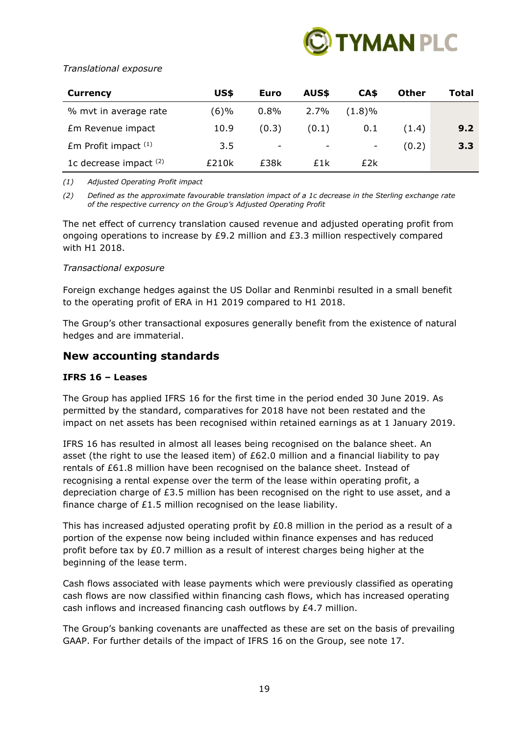

## *Translational exposure*

| Currency                 | US\$  | Euro  | AUS\$ | CA\$      | <b>Other</b> | Total |
|--------------------------|-------|-------|-------|-----------|--------------|-------|
| % mvt in average rate    | (6)%  | 0.8%  | 2.7%  | $(1.8)\%$ |              |       |
| Em Revenue impact        | 10.9  | (0.3) | (0.1) | 0.1       | (1.4)        | 9.2   |
| $Em$ Profit impact $(1)$ | 3.5   | ۰     | -     | -         | (0.2)        | 3.3   |
| 1c decrease impact $(2)$ | £210k | £38k  | £1k   | £2k       |              |       |

*(1) Adjusted Operating Profit impact*

*(2) Defined as the approximate favourable translation impact of a 1c decrease in the Sterling exchange rate of the respective currency on the Group's Adjusted Operating Profit*

The net effect of currency translation caused revenue and adjusted operating profit from ongoing operations to increase by  $E9.2$  million and  $E3.3$  million respectively compared with H1 2018.

## *Transactional exposure*

Foreign exchange hedges against the US Dollar and Renminbi resulted in a small benefit to the operating profit of ERA in H1 2019 compared to H1 2018.

The Group's other transactional exposures generally benefit from the existence of natural hedges and are immaterial.

## **New accounting standards**

## **IFRS 16 – Leases**

The Group has applied IFRS 16 for the first time in the period ended 30 June 2019. As permitted by the standard, comparatives for 2018 have not been restated and the impact on net assets has been recognised within retained earnings as at 1 January 2019.

IFRS 16 has resulted in almost all leases being recognised on the balance sheet. An asset (the right to use the leased item) of £62.0 million and a financial liability to pay rentals of £61.8 million have been recognised on the balance sheet. Instead of recognising a rental expense over the term of the lease within operating profit, a depreciation charge of £3.5 million has been recognised on the right to use asset, and a finance charge of £1.5 million recognised on the lease liability.

This has increased adjusted operating profit by  $E0.8$  million in the period as a result of a portion of the expense now being included within finance expenses and has reduced profit before tax by £0.7 million as a result of interest charges being higher at the beginning of the lease term.

Cash flows associated with lease payments which were previously classified as operating cash flows are now classified within financing cash flows, which has increased operating cash inflows and increased financing cash outflows by £4.7 million.

The Group's banking covenants are unaffected as these are set on the basis of prevailing GAAP. For further details of the impact of IFRS 16 on the Group, see note 17.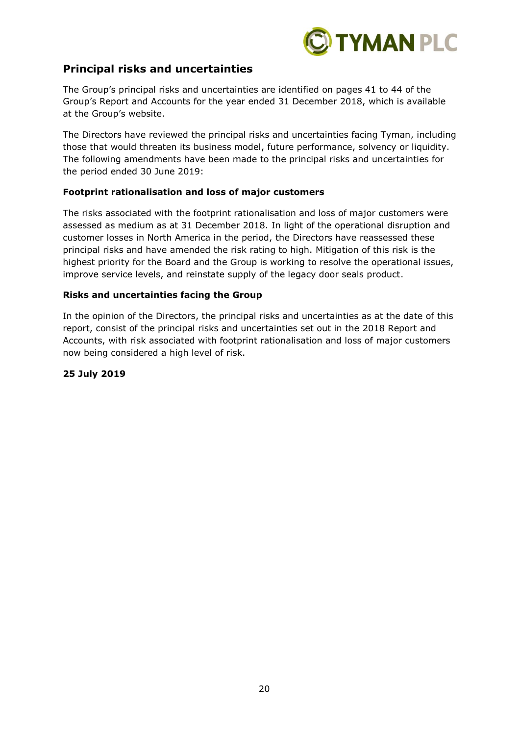

## **Principal risks and uncertainties**

The Group's principal risks and uncertainties are identified on pages 41 to 44 of the Group's Report and Accounts for the year ended 31 December 2018, which is available at the Group's website.

The Directors have reviewed the principal risks and uncertainties facing Tyman, including those that would threaten its business model, future performance, solvency or liquidity. The following amendments have been made to the principal risks and uncertainties for the period ended 30 June 2019:

## **Footprint rationalisation and loss of major customers**

The risks associated with the footprint rationalisation and loss of major customers were assessed as medium as at 31 December 2018. In light of the operational disruption and customer losses in North America in the period, the Directors have reassessed these principal risks and have amended the risk rating to high. Mitigation of this risk is the highest priority for the Board and the Group is working to resolve the operational issues, improve service levels, and reinstate supply of the legacy door seals product.

#### **Risks and uncertainties facing the Group**

In the opinion of the Directors, the principal risks and uncertainties as at the date of this report, consist of the principal risks and uncertainties set out in the 2018 Report and Accounts, with risk associated with footprint rationalisation and loss of major customers now being considered a high level of risk.

## **25 July 2019**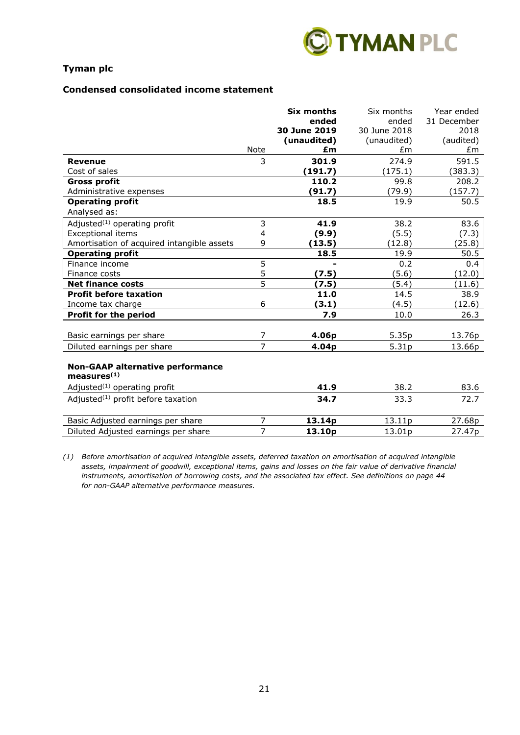

#### **Condensed consolidated income statement**

|                                                                    |                | <b>Six months</b>  | Six months   | Year ended  |
|--------------------------------------------------------------------|----------------|--------------------|--------------|-------------|
|                                                                    |                | ended              | ended        | 31 December |
|                                                                    |                | 30 June 2019       | 30 June 2018 | 2018        |
|                                                                    |                | (unaudited)        | (unaudited)  | (audited)   |
|                                                                    | Note           | £m                 | £m           | £m          |
| <b>Revenue</b>                                                     | 3              | 301.9              | 274.9        | 591.5       |
| Cost of sales                                                      |                | (191.7)            | (175.1)      | (383.3)     |
| <b>Gross profit</b>                                                |                | 110.2              | 99.8         | 208.2       |
| Administrative expenses                                            |                | (91.7)             | (79.9)       | (157.7)     |
| <b>Operating profit</b>                                            |                | 18.5               | 19.9         | 50.5        |
| Analysed as:                                                       |                |                    |              |             |
| Adjusted <sup>(1)</sup> operating profit                           | 3              | 41.9               | 38.2         | 83.6        |
| <b>Exceptional items</b>                                           | $\overline{4}$ | (9.9)              | (5.5)        | (7.3)       |
| Amortisation of acquired intangible assets                         | 9              | (13.5)             | (12.8)       | (25.8)      |
| <b>Operating profit</b>                                            |                | 18.5               | 19.9         | 50.5        |
| Finance income                                                     | $\overline{5}$ |                    | 0.2          | 0.4         |
| Finance costs                                                      | 5              | (7.5)              | (5.6)        | (12.0)      |
| <b>Net finance costs</b>                                           | 5              | (7.5)              | (5.4)        | (11.6)      |
| <b>Profit before taxation</b>                                      |                | 11.0               | 14.5         | 38.9        |
| Income tax charge                                                  | 6              | (3.1)              | (4.5)        | (12.6)      |
| Profit for the period                                              |                | 7.9                | 10.0         | 26.3        |
|                                                                    |                |                    |              |             |
| Basic earnings per share                                           | 7              | 4.06p              | 5.35p        | 13.76p      |
| Diluted earnings per share                                         | $\overline{7}$ | 4.04p              | 5.31p        | 13.66p      |
| <b>Non-GAAP alternative performance</b><br>measures <sup>(1)</sup> |                |                    |              |             |
| Adjusted <sup>(1)</sup> operating profit                           |                | 41.9               | 38.2         | 83.6        |
| Adjusted $(1)$ profit before taxation                              |                | 34.7               | 33.3         | 72.7        |
|                                                                    |                |                    |              |             |
| Basic Adjusted earnings per share                                  | $\overline{7}$ | 13.14p             | 13.11p       | 27.68p      |
| Diluted Adjusted earnings per share                                | $\overline{7}$ | 13.10 <sub>p</sub> | 13.01p       | 27.47p      |

*(1) Before amortisation of acquired intangible assets, deferred taxation on amortisation of acquired intangible assets, impairment of goodwill, exceptional items, gains and losses on the fair value of derivative financial instruments, amortisation of borrowing costs, and the associated tax effect. See definitions on page 44 for non-GAAP alternative performance measures.*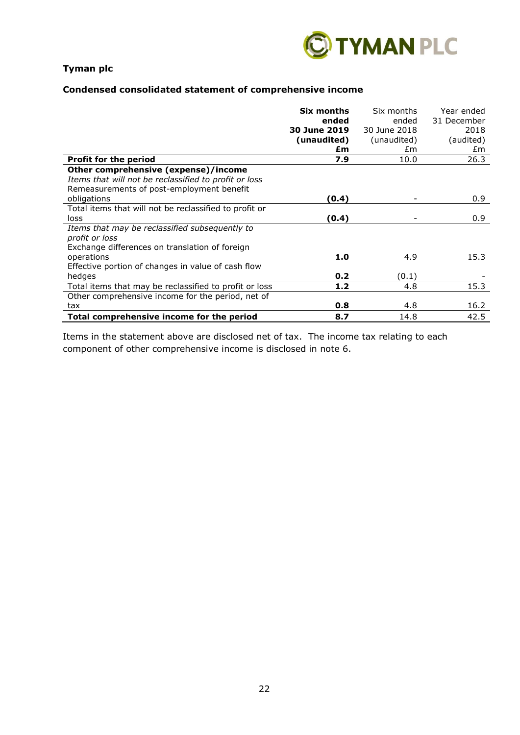

## **Condensed consolidated statement of comprehensive income**

|                                                        | Six months   | Six months   | Year ended       |
|--------------------------------------------------------|--------------|--------------|------------------|
|                                                        | ended        | ended        | 31 December      |
|                                                        | 30 June 2019 | 30 June 2018 | 2018             |
|                                                        | (unaudited)  | (unaudited)  | (audited)        |
|                                                        | £m           | £m           | £m               |
| Profit for the period                                  | 7.9          | 10.0         | 26.3             |
| Other comprehensive (expense)/income                   |              |              |                  |
| Items that will not be reclassified to profit or loss  |              |              |                  |
| Remeasurements of post-employment benefit              |              |              |                  |
| obligations                                            | (0.4)        |              | 0.9 <sup>°</sup> |
| Total items that will not be reclassified to profit or |              |              |                  |
| loss                                                   | (0.4)        |              | 0.9              |
| Items that may be reclassified subsequently to         |              |              |                  |
| profit or loss                                         |              |              |                  |
| Exchange differences on translation of foreign         |              |              |                  |
| operations                                             | 1.0          | 4.9          | 15.3             |
| Effective portion of changes in value of cash flow     |              |              |                  |
| hedges                                                 | 0.2          | (0.1)        |                  |
| Total items that may be reclassified to profit or loss | 1.2          | 4.8          | 15.3             |
| Other comprehensive income for the period, net of      |              |              |                  |
| tax                                                    | 0.8          | 4.8          | 16.2             |
| Total comprehensive income for the period              | 8.7          | 14.8         | 42.5             |

Items in the statement above are disclosed net of tax. The income tax relating to each component of other comprehensive income is disclosed in note 6.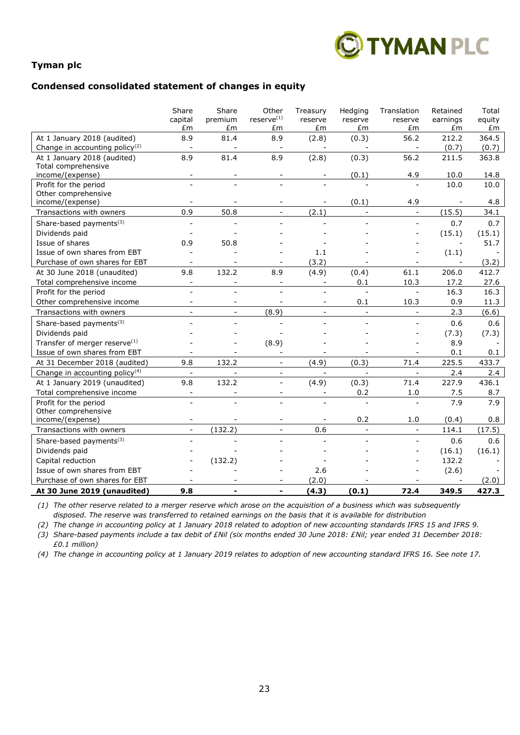

#### **Condensed consolidated statement of changes in equity**

|                                              | Share<br>capital         | Share<br>premium | Other<br>$reserve^{(1)}$ | Treasury<br>reserve      | Hedging<br>reserve       | Translation<br>reserve   | Retained<br>earnings     | Total<br>equity |
|----------------------------------------------|--------------------------|------------------|--------------------------|--------------------------|--------------------------|--------------------------|--------------------------|-----------------|
|                                              | £m                       | £m               | £m                       | £m                       | £m                       | £m                       | £m                       | £m              |
| At 1 January 2018 (audited)                  | 8.9                      | 81.4             | 8.9                      | (2.8)                    | (0.3)                    | 56.2                     | 212.2                    | 364.5           |
| Change in accounting policy <sup>(2)</sup>   | $\Box$                   |                  | $\overline{\phantom{a}}$ | $\overline{\phantom{a}}$ |                          | $\blacksquare$           | (0.7)                    | (0.7)           |
| At 1 January 2018 (audited)                  | 8.9                      | 81.4             | 8.9                      | (2.8)                    | (0.3)                    | 56.2                     | 211.5                    | 363.8           |
| Total comprehensive                          |                          |                  |                          |                          |                          |                          |                          |                 |
| income/(expense)                             |                          |                  |                          |                          | (0.1)                    | 4.9                      | 10.0                     | 14.8            |
| Profit for the period<br>Other comprehensive |                          |                  |                          |                          |                          |                          | 10.0                     | 10.0            |
| income/(expense)                             |                          |                  |                          |                          | (0.1)                    | 4.9                      |                          | 4.8             |
| Transactions with owners                     | 0.9                      | 50.8             | $\overline{a}$           | (2.1)                    | $\overline{\phantom{a}}$ | $\overline{a}$           | (15.5)                   | 34.1            |
|                                              | $\frac{1}{2}$            |                  |                          |                          |                          | $\overline{a}$           | 0.7                      | 0.7             |
| Share-based payments <sup>(3)</sup>          |                          |                  |                          |                          |                          |                          |                          |                 |
| Dividends paid<br>Issue of shares            | 0.9                      | 50.8             |                          |                          |                          |                          | (15.1)<br>$\overline{a}$ | (15.1)<br>51.7  |
| Issue of own shares from EBT                 |                          |                  |                          |                          |                          |                          |                          |                 |
| Purchase of own shares for EBT               |                          |                  |                          | 1.1<br>(3.2)             |                          |                          | (1.1)                    |                 |
|                                              | $\blacksquare$           |                  |                          |                          |                          | $\blacksquare$           |                          | (3.2)           |
| At 30 June 2018 (unaudited)                  | 9.8<br>$\blacksquare$    | 132.2            | 8.9                      | (4.9)                    | (0.4)                    | 61.1                     | 206.0                    | 412.7           |
| Total comprehensive income                   |                          |                  |                          | ÷                        | 0.1                      | 10.3                     | 17.2                     | 27.6            |
| Profit for the period                        |                          | $\overline{a}$   | $\overline{a}$           | $\overline{a}$           | $\blacksquare$           | $\equiv$                 | 16.3                     | 16.3            |
| Other comprehensive income                   | $\overline{a}$           | $\sim$           | $\overline{\phantom{a}}$ | $\overline{\phantom{a}}$ | 0.1                      | 10.3                     | 0.9                      | 11.3            |
| Transactions with owners                     | $\equiv$                 | $\equiv$         | (8.9)                    | $\frac{1}{2}$            | $\bar{\mathcal{L}}$      | $\bar{\mathbf{r}}$       | 2.3                      | (6.6)           |
| Share-based payments <sup>(3)</sup>          |                          |                  |                          |                          |                          |                          | 0.6                      | 0.6             |
| Dividends paid                               |                          |                  |                          |                          |                          |                          | (7.3)                    | (7.3)           |
| Transfer of merger reserve <sup>(1)</sup>    |                          |                  | (8.9)                    |                          |                          |                          | 8.9                      |                 |
| Issue of own shares from EBT                 |                          |                  | $\overline{a}$           |                          |                          | $\blacksquare$           | 0.1                      | 0.1             |
| At 31 December 2018 (audited)                | 9.8                      | 132.2            | $\frac{1}{2}$            | (4.9)                    | (0.3)                    | 71.4                     | 225.5                    | 433.7           |
| Change in accounting policy <sup>(4)</sup>   | $\overline{\phantom{a}}$ | $\blacksquare$   | $\overline{\phantom{a}}$ | $\overline{\phantom{a}}$ | $\blacksquare$           | $\blacksquare$           | 2.4                      | 2.4             |
| At 1 January 2019 (unaudited)                | 9.8                      | 132.2            | $\overline{a}$           | (4.9)                    | (0.3)                    | 71.4                     | 227.9                    | 436.1           |
| Total comprehensive income                   | $\overline{\phantom{a}}$ |                  |                          |                          | 0.2                      | 1.0                      | 7.5                      | 8.7             |
| Profit for the period                        |                          |                  |                          |                          | $\sim$                   |                          | 7.9                      | 7.9             |
| Other comprehensive                          |                          |                  |                          |                          |                          |                          |                          |                 |
| income/(expense)                             | $\overline{\phantom{a}}$ |                  | $\overline{\phantom{a}}$ | $\overline{\phantom{a}}$ | 0.2                      | 1.0                      | (0.4)                    | 0.8             |
| Transactions with owners                     | $\overline{\phantom{a}}$ | (132.2)          | $\overline{\phantom{a}}$ | 0.6                      | $\blacksquare$           | $\blacksquare$           | 114.1                    | (17.5)          |
| Share-based payments <sup>(3)</sup>          |                          |                  |                          |                          | $\overline{a}$           | $\blacksquare$           | 0.6                      | 0.6             |
| Dividends paid                               |                          |                  |                          |                          |                          | $\overline{\phantom{0}}$ | (16.1)                   | (16.1)          |
| Capital reduction                            |                          | (132.2)          |                          |                          |                          |                          | 132.2                    |                 |
| Issue of own shares from EBT                 |                          |                  |                          | 2.6                      |                          |                          | (2.6)                    |                 |
| Purchase of own shares for EBT               |                          |                  |                          | (2.0)                    |                          |                          |                          | (2.0)           |
| At 30 June 2019 (unaudited)                  | 9.8                      |                  |                          | (4.3)                    | (0.1)                    | 72.4                     | 349.5                    | 427.3           |

*(1) The other reserve related to a merger reserve which arose on the acquisition of a business which was subsequently disposed. The reserve was transferred to retained earnings on the basis that it is available for distribution*

*(2) The change in accounting policy at 1 January 2018 related to adoption of new accounting standards IFRS 15 and IFRS 9.*

*(3) Share-based payments include a tax debit of £Nil (six months ended 30 June 2018: £Nil; year ended 31 December 2018: £0.1 million)*

*(4) The change in accounting policy at 1 January 2019 relates to adoption of new accounting standard IFRS 16. See note 17.*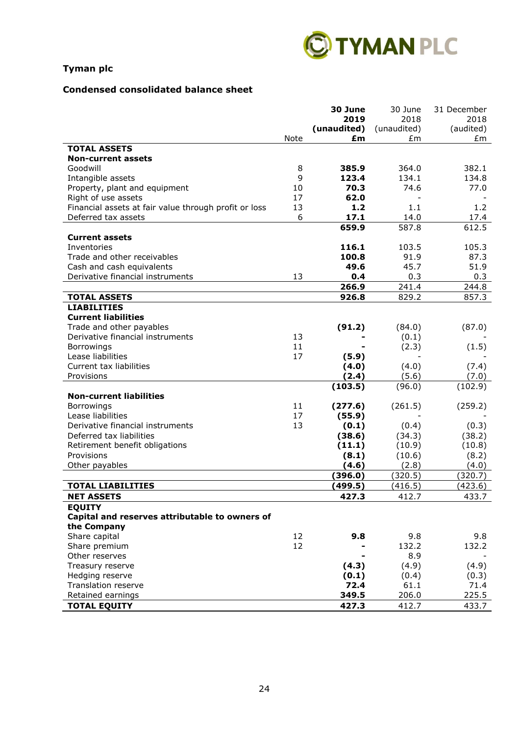

## **Condensed consolidated balance sheet**

|                                                       |      | 30 June     | 30 June     | 31 December |
|-------------------------------------------------------|------|-------------|-------------|-------------|
|                                                       |      | 2019        | 2018        | 2018        |
|                                                       |      | (unaudited) | (unaudited) | (audited)   |
|                                                       | Note | £m          | £m          | £m          |
| <b>TOTAL ASSETS</b>                                   |      |             |             |             |
| <b>Non-current assets</b>                             |      |             |             |             |
| Goodwill                                              | 8    | 385.9       | 364.0       | 382.1       |
| Intangible assets                                     | 9    | 123.4       | 134.1       | 134.8       |
| Property, plant and equipment                         | 10   | 70.3        | 74.6        | 77.0        |
| Right of use assets                                   | 17   | 62.0        |             |             |
| Financial assets at fair value through profit or loss | 13   | 1.2         | 1.1         | 1.2         |
| Deferred tax assets                                   | 6    | 17.1        | 14.0        | 17.4        |
|                                                       |      | 659.9       | 587.8       | 612.5       |
| <b>Current assets</b>                                 |      |             |             |             |
| Inventories                                           |      | 116.1       | 103.5       | 105.3       |
| Trade and other receivables                           |      | 100.8       | 91.9        | 87.3        |
| Cash and cash equivalents                             |      | 49.6        | 45.7        | 51.9        |
| Derivative financial instruments                      | 13   | 0.4         | 0.3         | 0.3         |
|                                                       |      | 266.9       | 241.4       | 244.8       |
| <b>TOTAL ASSETS</b>                                   |      | 926.8       | 829.2       | 857.3       |
| <b>LIABILITIES</b>                                    |      |             |             |             |
| <b>Current liabilities</b>                            |      |             |             |             |
| Trade and other payables                              |      | (91.2)      | (84.0)      | (87.0)      |
| Derivative financial instruments                      | 13   |             | (0.1)       |             |
| Borrowings                                            | 11   |             | (2.3)       | (1.5)       |
| Lease liabilities                                     | 17   | (5.9)       |             |             |
| Current tax liabilities                               |      | (4.0)       | (4.0)       | (7.4)       |
| Provisions                                            |      | (2.4)       | (5.6)       | (7.0)       |
|                                                       |      | (103.5)     | (96.0)      | (102.9)     |
| <b>Non-current liabilities</b>                        |      |             |             |             |
| Borrowings                                            | 11   | (277.6)     | (261.5)     | (259.2)     |
| Lease liabilities                                     | 17   | (55.9)      |             |             |
| Derivative financial instruments                      | 13   | (0.1)       | (0.4)       | (0.3)       |
| Deferred tax liabilities                              |      | (38.6)      | (34.3)      | (38.2)      |
| Retirement benefit obligations                        |      | (11.1)      | (10.9)      | (10.8)      |
| Provisions                                            |      | (8.1)       | (10.6)      | (8.2)       |
| Other payables                                        |      | (4.6)       | (2.8)       | (4.0)       |
|                                                       |      | (396.0)     | (320.5)     | (320.7)     |
| <b>TOTAL LIABILITIES</b>                              |      | (499.5)     | (416.5)     | (423.6)     |
| <b>NET ASSETS</b>                                     |      | 427.3       | 412.7       | 433.7       |
| <b>EQUITY</b>                                         |      |             |             |             |
| Capital and reserves attributable to owners of        |      |             |             |             |
| the Company                                           |      |             |             |             |
| Share capital                                         | 12   | 9.8         | 9.8         | 9.8         |
| Share premium                                         | 12   |             | 132.2       | 132.2       |
| Other reserves                                        |      |             | 8.9         |             |
| Treasury reserve                                      |      | (4.3)       | (4.9)       | (4.9)       |
| Hedging reserve                                       |      | (0.1)       | (0.4)       | (0.3)       |
| <b>Translation reserve</b>                            |      | 72.4        | 61.1        | 71.4        |
| Retained earnings                                     |      | 349.5       | 206.0       | 225.5       |
|                                                       |      |             |             |             |
| <b>TOTAL EQUITY</b>                                   |      | 427.3       | 412.7       | 433.7       |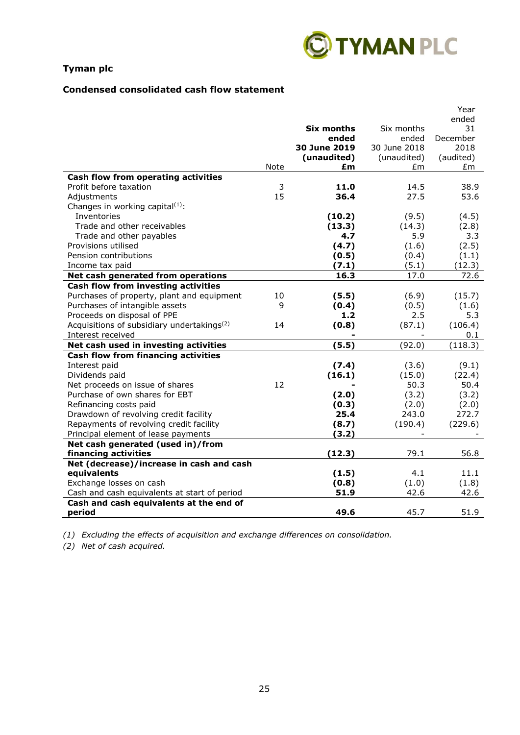

## **Condensed consolidated cash flow statement**

|                                                                                         |      |                       |                       | Year             |
|-----------------------------------------------------------------------------------------|------|-----------------------|-----------------------|------------------|
|                                                                                         |      |                       |                       | ended            |
|                                                                                         |      | Six months            | Six months            | 31               |
|                                                                                         |      | ended<br>30 June 2019 | ended<br>30 June 2018 | December<br>2018 |
|                                                                                         |      | (unaudited)           |                       |                  |
|                                                                                         | Note | £m                    | (unaudited)<br>£m     | (audited)<br>£m  |
| Cash flow from operating activities                                                     |      |                       |                       |                  |
| Profit before taxation                                                                  | 3    | 11.0                  | 14.5                  | 38.9             |
| Adjustments                                                                             | 15   | 36.4                  | 27.5                  | 53.6             |
| Changes in working capital(1):                                                          |      |                       |                       |                  |
| Inventories                                                                             |      | (10.2)                | (9.5)                 | (4.5)            |
| Trade and other receivables                                                             |      | (13.3)                | (14.3)                | (2.8)            |
| Trade and other payables                                                                |      | 4.7                   | 5.9                   | 3.3              |
| Provisions utilised                                                                     |      | (4.7)                 | (1.6)                 | (2.5)            |
| Pension contributions                                                                   |      | (0.5)                 | (0.4)                 | (1.1)            |
| Income tax paid                                                                         |      | (7.1)                 | (5.1)                 | (12.3)           |
| Net cash generated from operations                                                      |      | 16.3                  | 17.0                  | 72.6             |
| Cash flow from investing activities                                                     |      |                       |                       |                  |
| Purchases of property, plant and equipment                                              | 10   | (5.5)                 | (6.9)                 | (15.7)           |
| Purchases of intangible assets                                                          | 9    | (0.4)                 | (0.5)                 | (1.6)            |
| Proceeds on disposal of PPE                                                             |      | 1.2                   | 2.5                   | 5.3              |
| Acquisitions of subsidiary undertakings <sup>(2)</sup>                                  | 14   | (0.8)                 | (87.1)                | (106.4)          |
| Interest received                                                                       |      |                       |                       | 0.1              |
| Net cash used in investing activities                                                   |      | (5.5)                 | (92.0)                | (118.3)          |
| <b>Cash flow from financing activities</b>                                              |      |                       |                       |                  |
| Interest paid                                                                           |      | (7.4)                 | (3.6)                 | (9.1)            |
| Dividends paid                                                                          |      | (16.1)                | (15.0)                | (22.4)           |
| Net proceeds on issue of shares                                                         | 12   |                       | 50.3                  | 50.4             |
| Purchase of own shares for EBT                                                          |      | (2.0)                 | (3.2)                 | (3.2)            |
| Refinancing costs paid                                                                  |      | (0.3)                 | (2.0)                 | (2.0)            |
| Drawdown of revolving credit facility                                                   |      | 25.4                  | 243.0                 | 272.7            |
| Repayments of revolving credit facility                                                 |      | (8.7)                 | (190.4)               | (229.6)          |
| Principal element of lease payments                                                     |      | (3.2)                 |                       |                  |
| Net cash generated (used in)/from                                                       |      |                       |                       |                  |
| financing activities                                                                    |      | (12.3)                | 79.1                  | 56.8             |
| Net (decrease)/increase in cash and cash                                                |      |                       |                       |                  |
| equivalents                                                                             |      | (1.5)                 | 4.1                   | 11.1             |
| Exchange losses on cash                                                                 |      | (0.8)<br>51.9         | (1.0)<br>42.6         | (1.8)            |
| Cash and cash equivalents at start of period<br>Cash and cash equivalents at the end of |      |                       |                       | 42.6             |
| period                                                                                  |      | 49.6                  | 45.7                  | 51.9             |
|                                                                                         |      |                       |                       |                  |

*(1) Excluding the effects of acquisition and exchange differences on consolidation.*

*(2) Net of cash acquired.*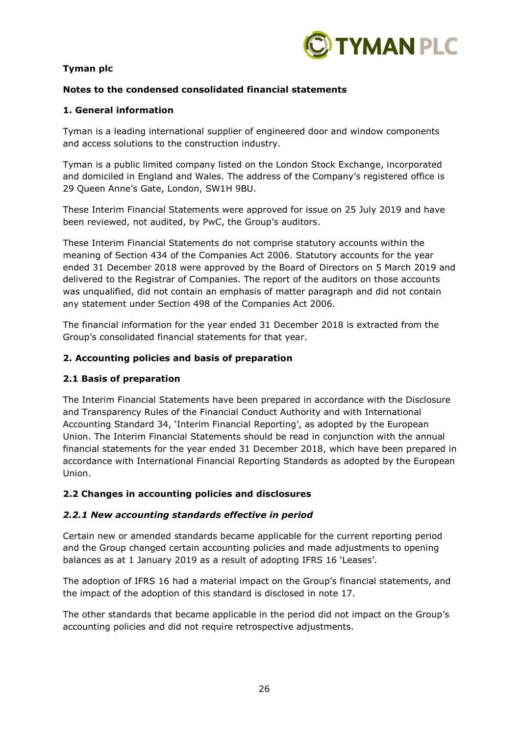

## **Notes to the condensed consolidated financial statements**

## **1. General information**

Tyman is a leading international supplier of engineered door and window components and access solutions to the construction industry.

Tyman is a public limited company listed on the London Stock Exchange, incorporated and domiciled in England and Wales. The address of the Company's registered office is 29 Queen Anne's Gate, London, SW1H 9BU.

These Interim Financial Statements were approved for issue on 25 July 2019 and have been reviewed, not audited, by PwC, the Group's auditors.

These Interim Financial Statements do not comprise statutory accounts within the meaning of Section 434 of the Companies Act 2006. Statutory accounts for the year ended 31 December 2018 were approved by the Board of Directors on 5 March 2019 and delivered to the Registrar of Companies. The report of the auditors on those accounts was unqualified, did not contain an emphasis of matter paragraph and did not contain any statement under Section 498 of the Companies Act 2006.

The financial information for the year ended 31 December 2018 is extracted from the Group's consolidated financial statements for that year.

## **2. Accounting policies and basis of preparation**

## **2.1 Basis of preparation**

The Interim Financial Statements have been prepared in accordance with the Disclosure and Transparency Rules of the Financial Conduct Authority and with International Accounting Standard 34, 'Interim Financial Reporting', as adopted by the European Union. The Interim Financial Statements should be read in conjunction with the annual financial statements for the year ended 31 December 2018, which have been prepared in accordance with International Financial Reporting Standards as adopted by the European Union.

## **2.2 Changes in accounting policies and disclosures**

## *2.2.1 New accounting standards effective in period*

Certain new or amended standards became applicable for the current reporting period and the Group changed certain accounting policies and made adjustments to opening balances as at 1 January 2019 as a result of adopting IFRS 16 'Leases'.

The adoption of IFRS 16 had a material impact on the Group's financial statements, and the impact of the adoption of this standard is disclosed in note 17.

The other standards that became applicable in the period did not impact on the Group's accounting policies and did not require retrospective adjustments.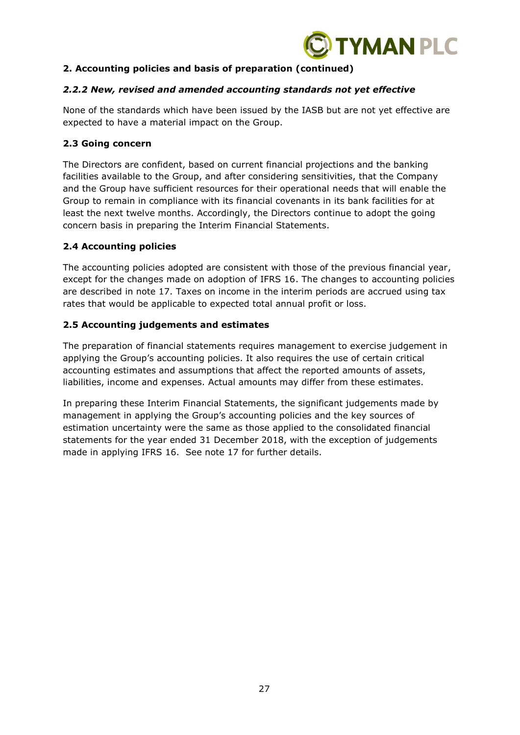

## **2. Accounting policies and basis of preparation (continued)**

## *2.2.2 New, revised and amended accounting standards not yet effective*

None of the standards which have been issued by the IASB but are not yet effective are expected to have a material impact on the Group.

## **2.3 Going concern**

The Directors are confident, based on current financial projections and the banking facilities available to the Group, and after considering sensitivities, that the Company and the Group have sufficient resources for their operational needs that will enable the Group to remain in compliance with its financial covenants in its bank facilities for at least the next twelve months. Accordingly, the Directors continue to adopt the going concern basis in preparing the Interim Financial Statements.

## **2.4 Accounting policies**

The accounting policies adopted are consistent with those of the previous financial year, except for the changes made on adoption of IFRS 16. The changes to accounting policies are described in note 17. Taxes on income in the interim periods are accrued using tax rates that would be applicable to expected total annual profit or loss.

## **2.5 Accounting judgements and estimates**

The preparation of financial statements requires management to exercise judgement in applying the Group's accounting policies. It also requires the use of certain critical accounting estimates and assumptions that affect the reported amounts of assets, liabilities, income and expenses. Actual amounts may differ from these estimates.

In preparing these Interim Financial Statements, the significant judgements made by management in applying the Group's accounting policies and the key sources of estimation uncertainty were the same as those applied to the consolidated financial statements for the year ended 31 December 2018, with the exception of judgements made in applying IFRS 16. See note 17 for further details.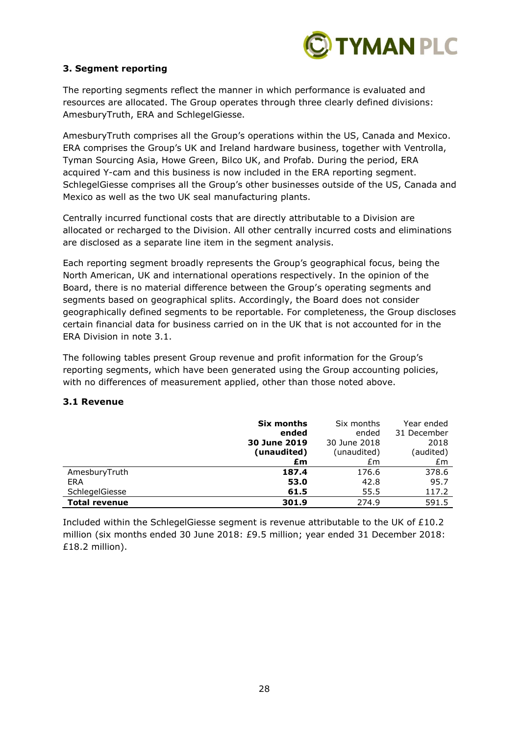

## **3. Segment reporting**

The reporting segments reflect the manner in which performance is evaluated and resources are allocated. The Group operates through three clearly defined divisions: AmesburyTruth, ERA and SchlegelGiesse.

AmesburyTruth comprises all the Group's operations within the US, Canada and Mexico. ERA comprises the Group's UK and Ireland hardware business, together with Ventrolla, Tyman Sourcing Asia, Howe Green, Bilco UK, and Profab. During the period, ERA acquired Y-cam and this business is now included in the ERA reporting segment. SchlegelGiesse comprises all the Group's other businesses outside of the US, Canada and Mexico as well as the two UK seal manufacturing plants.

Centrally incurred functional costs that are directly attributable to a Division are allocated or recharged to the Division. All other centrally incurred costs and eliminations are disclosed as a separate line item in the segment analysis.

Each reporting segment broadly represents the Group's geographical focus, being the North American, UK and international operations respectively. In the opinion of the Board, there is no material difference between the Group's operating segments and segments based on geographical splits. Accordingly, the Board does not consider geographically defined segments to be reportable. For completeness, the Group discloses certain financial data for business carried on in the UK that is not accounted for in the ERA Division in note 3.1.

The following tables present Group revenue and profit information for the Group's reporting segments, which have been generated using the Group accounting policies, with no differences of measurement applied, other than those noted above.

## **3.1 Revenue**

|                      | Six months   | Six months   | Year ended  |
|----------------------|--------------|--------------|-------------|
|                      | ended        | ended        | 31 December |
|                      | 30 June 2019 | 30 June 2018 | 2018        |
|                      | (unaudited)  | (unaudited)  | (audited)   |
|                      | £m           | £m           | £m          |
| AmesburyTruth        | 187.4        | 176.6        | 378.6       |
| ERA                  | 53.0         | 42.8         | 95.7        |
| SchlegelGiesse       | 61.5         | 55.5         | 117.2       |
| <b>Total revenue</b> | 301.9        | 274.9        | 591.5       |

Included within the SchlegelGiesse segment is revenue attributable to the UK of £10.2 million (six months ended 30 June 2018: £9.5 million; year ended 31 December 2018: £18.2 million).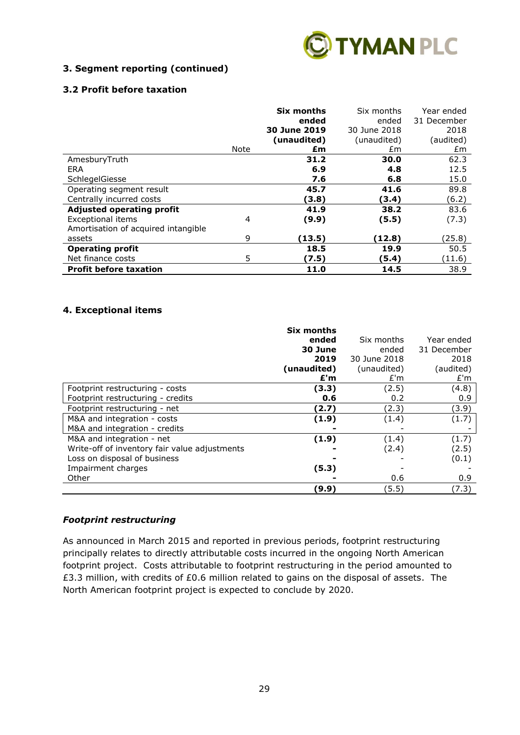

## **3. Segment reporting (continued)**

## **3.2 Profit before taxation**

|                                     |      | <b>Six months</b> | Six months   | Year ended  |
|-------------------------------------|------|-------------------|--------------|-------------|
|                                     |      | ended             | ended        | 31 December |
|                                     |      | 30 June 2019      | 30 June 2018 | 2018        |
|                                     |      | (unaudited)       | (unaudited)  | (audited)   |
|                                     | Note | £m                | £m           | £m          |
| AmesburyTruth                       |      | 31.2              | 30.0         | 62.3        |
| <b>ERA</b>                          |      | 6.9               | 4.8          | 12.5        |
| SchlegelGiesse                      |      | 7.6               | 6.8          | 15.0        |
| Operating segment result            |      | 45.7              | 41.6         | 89.8        |
| Centrally incurred costs            |      | (3.8)             | (3.4)        | (6.2)       |
| <b>Adjusted operating profit</b>    |      | 41.9              | 38.2         | 83.6        |
| <b>Exceptional items</b>            | 4    | (9.9)             | (5.5)        | (7.3)       |
| Amortisation of acquired intangible |      |                   |              |             |
| assets                              | 9    | (13.5)            | (12.8)       | (25.8)      |
| <b>Operating profit</b>             |      | 18.5              | 19.9         | 50.5        |
| Net finance costs                   | 5    | (7.5)             | (5.4)        | (11.6)      |
| <b>Profit before taxation</b>       |      | 11.0              | 14.5         | 38.9        |

## **4. Exceptional items**

|                                               | Six months<br>ended<br>30 June<br>2019<br>(unaudited)<br>£'m | Six months<br>ended<br>30 June 2018<br>(unaudited)<br>E'm | Year ended<br>31 December<br>2018<br>(audited)<br>E'm |
|-----------------------------------------------|--------------------------------------------------------------|-----------------------------------------------------------|-------------------------------------------------------|
| Footprint restructuring - costs               | (3.3)                                                        | (2.5)                                                     | (4.8)                                                 |
| Footprint restructuring - credits             | 0.6                                                          | 0.2                                                       | 0.9                                                   |
| Footprint restructuring - net                 | (2.7)                                                        | (2.3)                                                     | (3.9)                                                 |
| M&A and integration - costs                   | (1.9)                                                        | (1.4)                                                     | (1.7)                                                 |
| M&A and integration - credits                 |                                                              |                                                           |                                                       |
| M&A and integration - net                     | (1.9)                                                        | (1.4)                                                     | (1.7)                                                 |
| Write-off of inventory fair value adjustments |                                                              | (2.4)                                                     | (2.5)                                                 |
| Loss on disposal of business                  |                                                              |                                                           | (0.1)                                                 |
| Impairment charges                            | (5.3)                                                        |                                                           |                                                       |
| Other                                         |                                                              | 0.6                                                       | 0.9                                                   |
|                                               | (9.9)                                                        | (5.5)                                                     | (7.3)                                                 |

## *Footprint restructuring*

As announced in March 2015 and reported in previous periods, footprint restructuring principally relates to directly attributable costs incurred in the ongoing North American footprint project. Costs attributable to footprint restructuring in the period amounted to £3.3 million, with credits of £0.6 million related to gains on the disposal of assets. The North American footprint project is expected to conclude by 2020.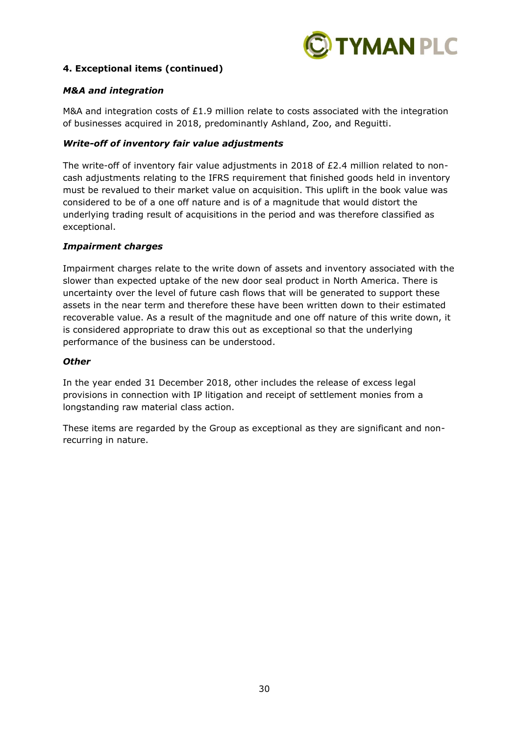

## **4. Exceptional items (continued)**

## *M&A and integration*

M&A and integration costs of £1.9 million relate to costs associated with the integration of businesses acquired in 2018, predominantly Ashland, Zoo, and Reguitti.

#### *Write-off of inventory fair value adjustments*

The write-off of inventory fair value adjustments in 2018 of £2.4 million related to noncash adjustments relating to the IFRS requirement that finished goods held in inventory must be revalued to their market value on acquisition. This uplift in the book value was considered to be of a one off nature and is of a magnitude that would distort the underlying trading result of acquisitions in the period and was therefore classified as exceptional.

#### *Impairment charges*

Impairment charges relate to the write down of assets and inventory associated with the slower than expected uptake of the new door seal product in North America. There is uncertainty over the level of future cash flows that will be generated to support these assets in the near term and therefore these have been written down to their estimated recoverable value. As a result of the magnitude and one off nature of this write down, it is considered appropriate to draw this out as exceptional so that the underlying performance of the business can be understood.

#### *Other*

In the year ended 31 December 2018, other includes the release of excess legal provisions in connection with IP litigation and receipt of settlement monies from a longstanding raw material class action.

These items are regarded by the Group as exceptional as they are significant and nonrecurring in nature.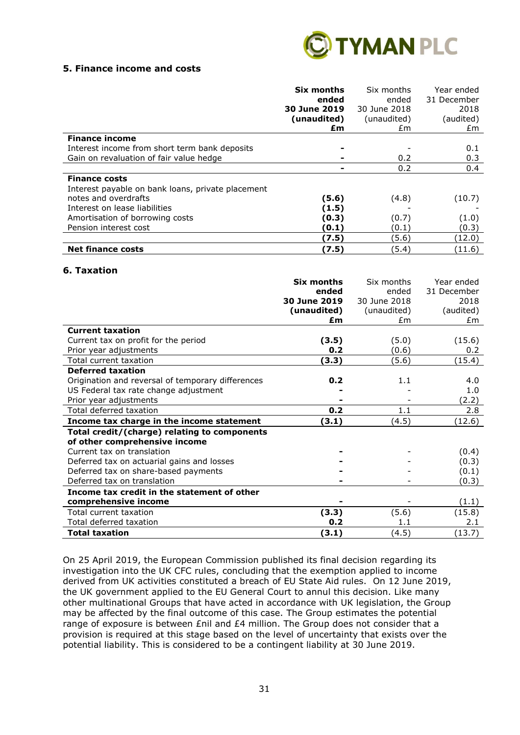

#### **5. Finance income and costs**

|                                                   | Six months<br>ended<br>30 June 2019<br>(unaudited)<br>£m | Six months<br>ended<br>30 June 2018<br>(unaudited)<br>£m. | Year ended<br>31 December<br>2018<br>(audited)<br>£m |
|---------------------------------------------------|----------------------------------------------------------|-----------------------------------------------------------|------------------------------------------------------|
| <b>Finance income</b>                             |                                                          |                                                           |                                                      |
| Interest income from short term bank deposits     |                                                          |                                                           | 0.1                                                  |
| Gain on revaluation of fair value hedge           |                                                          | 0.2                                                       | 0.3                                                  |
|                                                   |                                                          | 0.2                                                       | 0.4                                                  |
| <b>Finance costs</b>                              |                                                          |                                                           |                                                      |
| Interest payable on bank loans, private placement |                                                          |                                                           |                                                      |
| notes and overdrafts                              | (5.6)                                                    | (4.8)                                                     | (10.7)                                               |
| Interest on lease liabilities                     | (1.5)                                                    |                                                           |                                                      |
| Amortisation of borrowing costs                   | (0.3)                                                    | (0.7)                                                     | (1.0)                                                |
| Pension interest cost                             | (0.1)                                                    | (0.1)                                                     | (0.3)                                                |
|                                                   | (7.5)                                                    | (5.6)                                                     | (12.0)                                               |
| <b>Net finance costs</b>                          | (7.5)                                                    | (5.4)                                                     | (11.6)                                               |

#### **6. Taxation**

|                                                   | Six months   | Six months   | Year ended  |
|---------------------------------------------------|--------------|--------------|-------------|
|                                                   | ended        | ended        | 31 December |
|                                                   | 30 June 2019 | 30 June 2018 | 2018        |
|                                                   | (unaudited)  | (unaudited)  | (audited)   |
|                                                   | £m           | £m           | £m          |
| <b>Current taxation</b>                           |              |              |             |
| Current tax on profit for the period              | (3.5)        | (5.0)        | (15.6)      |
| Prior year adjustments                            | 0.2          | (0.6)        | 0.2         |
| Total current taxation                            | (3.3)        | (5.6)        | (15.4)      |
| <b>Deferred taxation</b>                          |              |              |             |
| Origination and reversal of temporary differences | 0.2          | 1.1          | 4.0         |
| US Federal tax rate change adjustment             |              |              | 1.0         |
| Prior year adjustments                            |              |              | (2.2)       |
| Total deferred taxation                           | 0.2          | 1.1          | 2.8         |
| Income tax charge in the income statement         | (3.1)        | (4.5)        | (12.6)      |
| Total credit/(charge) relating to components      |              |              |             |
| of other comprehensive income                     |              |              |             |
| Current tax on translation                        |              |              | (0.4)       |
| Deferred tax on actuarial gains and losses        |              |              | (0.3)       |
| Deferred tax on share-based payments              |              |              | (0.1)       |
| Deferred tax on translation                       |              |              | (0.3)       |
| Income tax credit in the statement of other       |              |              |             |
| comprehensive income                              |              |              | (1.1)       |
| Total current taxation                            | (3.3)        | (5.6)        | (15.8)      |
| Total deferred taxation                           | 0.2          | 1.1          | 2.1         |
| <b>Total taxation</b>                             | (3.1)        | (4.5)        | (13.7)      |

On 25 April 2019, the European Commission published its final decision regarding its investigation into the UK CFC rules, concluding that the exemption applied to income derived from UK activities constituted a breach of EU State Aid rules. On 12 June 2019, the UK government applied to the EU General Court to annul this decision. Like many other multinational Groups that have acted in accordance with UK legislation, the Group may be affected by the final outcome of this case. The Group estimates the potential range of exposure is between £nil and £4 million. The Group does not consider that a provision is required at this stage based on the level of uncertainty that exists over the potential liability. This is considered to be a contingent liability at 30 June 2019.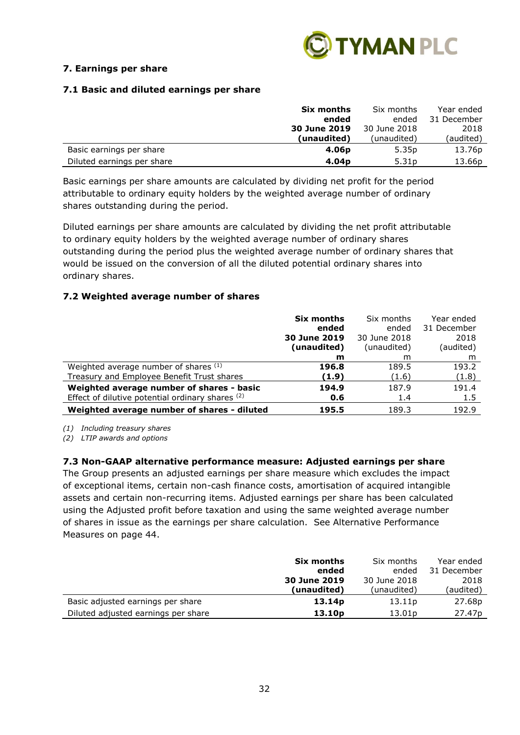

## **7. Earnings per share**

## **7.1 Basic and diluted earnings per share**

|                            | Six months        | Six months        | Year ended  |
|----------------------------|-------------------|-------------------|-------------|
|                            | ended             | ended             | 31 December |
|                            | 30 June 2019      | 30 June 2018      | 2018        |
|                            | (unaudited)       | (unaudited)       | (audited)   |
| Basic earnings per share   | 4.06 <sub>p</sub> | 5.35 <sub>p</sub> | 13.76p      |
| Diluted earnings per share | 4.04 <sub>p</sub> | 5.31 <sub>p</sub> | 13.66p      |

Basic earnings per share amounts are calculated by dividing net profit for the period attributable to ordinary equity holders by the weighted average number of ordinary shares outstanding during the period.

Diluted earnings per share amounts are calculated by dividing the net profit attributable to ordinary equity holders by the weighted average number of ordinary shares outstanding during the period plus the weighted average number of ordinary shares that would be issued on the conversion of all the diluted potential ordinary shares into ordinary shares.

#### **7.2 Weighted average number of shares**

|                                                  | Six months<br>ended<br>30 June 2019 | Six months<br>ended<br>30 June 2018 | Year ended<br>31 December<br>2018 |
|--------------------------------------------------|-------------------------------------|-------------------------------------|-----------------------------------|
|                                                  | (unaudited)                         | (unaudited)                         | (audited)                         |
|                                                  | m                                   | m                                   | m                                 |
| Weighted average number of shares (1)            | 196.8                               | 189.5                               | 193.2                             |
| Treasury and Employee Benefit Trust shares       | (1.9)                               | (1.6)                               | (1.8)                             |
| Weighted average number of shares - basic        | 194.9                               | 187.9                               | 191.4                             |
| Effect of dilutive potential ordinary shares (2) | 0.6                                 | 1.4                                 | 1.5                               |
| Weighted average number of shares - diluted      | 195.5                               | 189.3                               | 192.9                             |

*(1) Including treasury shares*

*(2) LTIP awards and options*

## **7.3 Non-GAAP alternative performance measure: Adjusted earnings per share**

The Group presents an adjusted earnings per share measure which excludes the impact of exceptional items, certain non-cash finance costs, amortisation of acquired intangible assets and certain non-recurring items. Adjusted earnings per share has been calculated using the Adjusted profit before taxation and using the same weighted average number of shares in issue as the earnings per share calculation. See Alternative Performance Measures on page 44.

|                                     | Six months         | Six months         | Year ended         |
|-------------------------------------|--------------------|--------------------|--------------------|
|                                     | ended              | ended              | 31 December        |
|                                     | 30 June 2019       | 30 June 2018       | 2018               |
|                                     | (unaudited)        | (unaudited)        | (audited)          |
| Basic adjusted earnings per share   | 13.14 <sub>p</sub> | 13.11p             | 27.68p             |
| Diluted adjusted earnings per share | 13.10 <sub>p</sub> | 13.01 <sub>p</sub> | 27.47 <sub>p</sub> |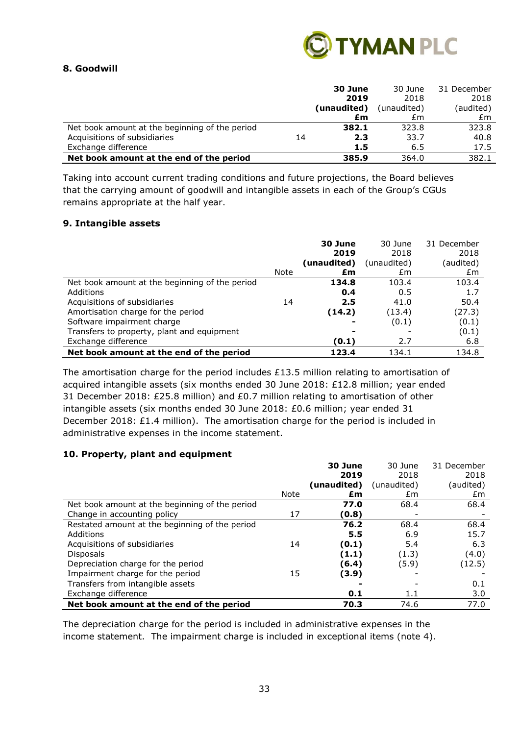

## **8. Goodwill**

|                                                |    | 30 June     | 30 June     | 31 December |
|------------------------------------------------|----|-------------|-------------|-------------|
|                                                |    | 2019        | 2018        | 2018        |
|                                                |    | (unaudited) | (unaudited) | (audited)   |
|                                                |    | £m          | £m          | £m          |
| Net book amount at the beginning of the period |    | 382.1       | 323.8       | 323.8       |
| Acquisitions of subsidiaries                   | 14 | 2.3         | 33.7        | 40.8        |
| Exchange difference                            |    | 1.5         | 6.5         | 17.5        |
| Net book amount at the end of the period       |    | 385.9       | 364.0       | 382.1       |

Taking into account current trading conditions and future projections, the Board believes that the carrying amount of goodwill and intangible assets in each of the Group's CGUs remains appropriate at the half year.

#### **9. Intangible assets**

|                                                |      | 30 June     | 30 June     | 31 December |
|------------------------------------------------|------|-------------|-------------|-------------|
|                                                |      | 2019        | 2018        | 2018        |
|                                                |      | (unaudited) | (unaudited) | (audited)   |
|                                                | Note | £m          | £m          | £m          |
| Net book amount at the beginning of the period |      | 134.8       | 103.4       | 103.4       |
| Additions                                      |      | 0.4         | 0.5         | 1.7         |
| Acquisitions of subsidiaries                   | 14   | 2.5         | 41.0        | 50.4        |
| Amortisation charge for the period             |      | (14.2)      | (13.4)      | (27.3)      |
| Software impairment charge                     |      |             | (0.1)       | (0.1)       |
| Transfers to property, plant and equipment     |      |             |             | (0.1)       |
| Exchange difference                            |      | (0.1)       | 2.7         | 6.8         |
| Net book amount at the end of the period       |      | 123.4       | 134.1       | 134.8       |

The amortisation charge for the period includes £13.5 million relating to amortisation of acquired intangible assets (six months ended 30 June 2018: £12.8 million; year ended 31 December 2018: £25.8 million) and £0.7 million relating to amortisation of other intangible assets (six months ended 30 June 2018: £0.6 million; year ended 31 December 2018:  $E1.4$  million). The amortisation charge for the period is included in administrative expenses in the income statement.

## **10. Property, plant and equipment**

|                                                |      | 30 June     | 30 June     | 31 December |
|------------------------------------------------|------|-------------|-------------|-------------|
|                                                |      | 2019        | 2018        | 2018        |
|                                                |      | (unaudited) | (unaudited) | (audited)   |
|                                                | Note | £m          | £m          | £m          |
| Net book amount at the beginning of the period |      | 77.0        | 68.4        | 68.4        |
| Change in accounting policy                    | 17   | (0.8)       |             |             |
| Restated amount at the beginning of the period |      | 76.2        | 68.4        | 68.4        |
| Additions                                      |      | 5.5         | 6.9         | 15.7        |
| Acquisitions of subsidiaries                   | 14   | (0.1)       | 5.4         | 6.3         |
| <b>Disposals</b>                               |      | (1.1)       | (1.3)       | (4.0)       |
| Depreciation charge for the period             |      | (6.4)       | (5.9)       | (12.5)      |
| Impairment charge for the period               | 15   | (3.9)       |             |             |
| Transfers from intangible assets               |      |             |             | 0.1         |
| Exchange difference                            |      | 0.1         | 1.1         | 3.0         |
| Net book amount at the end of the period       |      | 70.3        | 74.6        | 77.0        |

The depreciation charge for the period is included in administrative expenses in the income statement. The impairment charge is included in exceptional items (note 4).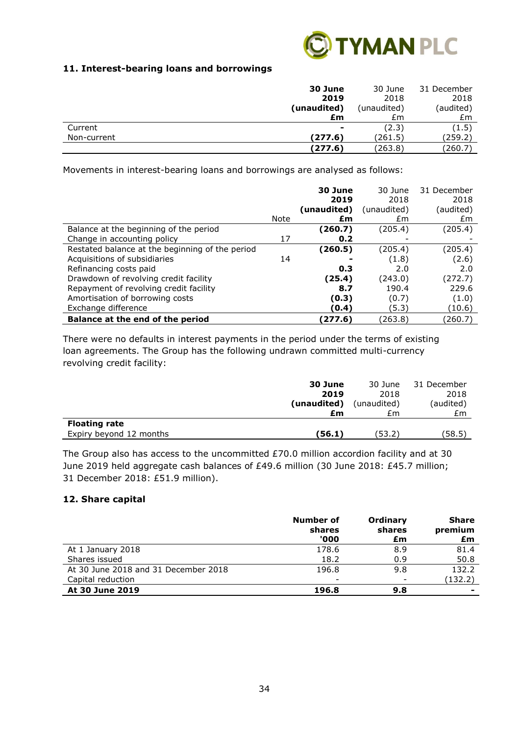

## **11. Interest-bearing loans and borrowings**

|             | 30 June        | 30 June     | 31 December |
|-------------|----------------|-------------|-------------|
|             | 2019           | 2018        | 2018        |
|             | (unaudited)    | (unaudited) | (audited)   |
|             | £m             | £m          | £m          |
| Current     | $\blacksquare$ | (2.3)       | (1.5)       |
| Non-current | (277.6)        | (261.5)     | (259.2)     |
|             | (277.6)        | (263.8)     | (260.7)     |

Movements in interest-bearing loans and borrowings are analysed as follows:

|                                                 |      | 30 June<br>2019 | 30 June<br>2018 | 31 December<br>2018 |
|-------------------------------------------------|------|-----------------|-----------------|---------------------|
|                                                 |      | (unaudited)     | (unaudited)     | (audited)           |
|                                                 | Note | £m              | £m              | Em                  |
| Balance at the beginning of the period          |      | (260.7)         | (205.4)         | (205.4)             |
| Change in accounting policy                     | 17   | 0.2             |                 |                     |
| Restated balance at the beginning of the period |      | (260.5)         | (205.4)         | (205.4)             |
| Acquisitions of subsidiaries                    | 14   |                 | (1.8)           | (2.6)               |
| Refinancing costs paid                          |      | 0.3             | 2.0             | 2.0                 |
| Drawdown of revolving credit facility           |      | (25.4)          | (243.0)         | (272.7)             |
| Repayment of revolving credit facility          |      | 8.7             | 190.4           | 229.6               |
| Amortisation of borrowing costs                 |      | (0.3)           | (0.7)           | (1.0)               |
| Exchange difference                             |      | (0.4)           | (5.3)           | (10.6)              |
| Balance at the end of the period                |      | (277.6)         | (263.8          | (260.7)             |

There were no defaults in interest payments in the period under the terms of existing loan agreements. The Group has the following undrawn committed multi-currency revolving credit facility:

|                         | 30 June     | 30 June     | 31 December |
|-------------------------|-------------|-------------|-------------|
|                         | 2019        | 2018        | 2018        |
|                         | (unaudited) | (unaudited) | (audited)   |
|                         | £m          | £m          | £m          |
| <b>Floating rate</b>    |             |             |             |
| Expiry beyond 12 months | (56.1)      | (53.2       | (58.5)      |

The Group also has access to the uncommitted £70.0 million accordion facility and at 30 June 2019 held aggregate cash balances of £49.6 million (30 June 2018: £45.7 million; 31 December 2018: £51.9 million).

## **12. Share capital**

|                                      | Number of<br>shares<br>'000 | Ordinary<br>shares<br>£m | <b>Share</b><br>premium<br>£m |
|--------------------------------------|-----------------------------|--------------------------|-------------------------------|
| At 1 January 2018                    | 178.6                       | 8.9                      | 81.4                          |
| Shares issued                        | 18.2                        | 0.9                      | 50.8                          |
| At 30 June 2018 and 31 December 2018 | 196.8                       | 9.8                      | 132.2                         |
| Capital reduction                    | $\overline{\phantom{0}}$    | $\overline{\phantom{a}}$ | (132.2)                       |
| At 30 June 2019                      | 196.8                       | 9.8                      | -                             |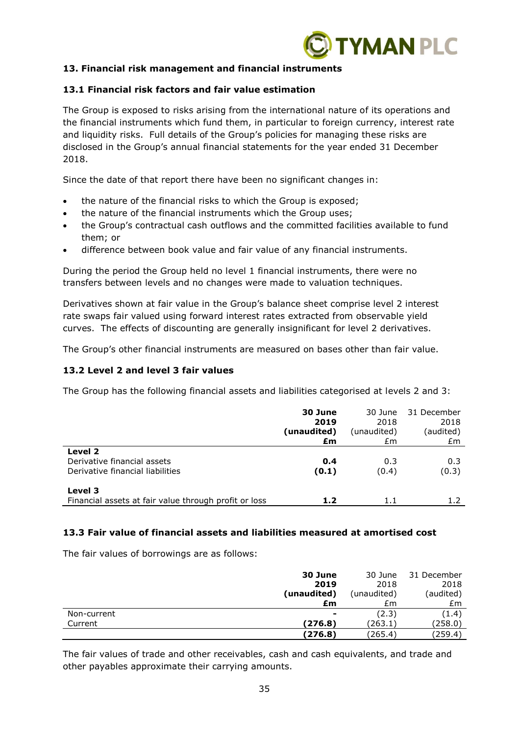

## **13. Financial risk management and financial instruments**

### **13.1 Financial risk factors and fair value estimation**

The Group is exposed to risks arising from the international nature of its operations and the financial instruments which fund them, in particular to foreign currency, interest rate and liquidity risks. Full details of the Group's policies for managing these risks are disclosed in the Group's annual financial statements for the year ended 31 December 2018.

Since the date of that report there have been no significant changes in:

- the nature of the financial risks to which the Group is exposed;
- the nature of the financial instruments which the Group uses;
- the Group's contractual cash outflows and the committed facilities available to fund them; or
- difference between book value and fair value of any financial instruments.

During the period the Group held no level 1 financial instruments, there were no transfers between levels and no changes were made to valuation techniques.

Derivatives shown at fair value in the Group's balance sheet comprise level 2 interest rate swaps fair valued using forward interest rates extracted from observable yield curves. The effects of discounting are generally insignificant for level 2 derivatives.

The Group's other financial instruments are measured on bases other than fair value.

### **13.2 Level 2 and level 3 fair values**

The Group has the following financial assets and liabilities categorised at levels 2 and 3:

|                                                       | 30 June     | 30 June     | 31 December |
|-------------------------------------------------------|-------------|-------------|-------------|
|                                                       | 2019        | 2018        | 2018        |
|                                                       | (unaudited) | (unaudited) | (audited)   |
|                                                       | £m          | £m          | £m          |
| Level 2                                               |             |             |             |
| Derivative financial assets                           | 0.4         | 0.3         | 0.3         |
| Derivative financial liabilities                      | (0.1)       | (0.4)       | (0.3)       |
| Level 3                                               |             |             |             |
| Financial assets at fair value through profit or loss | 1.2         | 1.1         | 1.2         |

#### **13.3 Fair value of financial assets and liabilities measured at amortised cost**

The fair values of borrowings are as follows:

|             | 30 June     | 30 June     | 31 December |
|-------------|-------------|-------------|-------------|
|             | 2019        | 2018        | 2018        |
|             | (unaudited) | (unaudited) | (audited)   |
|             | £m          | £m          | £m          |
| Non-current | ۰           | (2.3)       | (1.4)       |
| Current     | (276.8)     | (263.1)     | (258.0)     |
|             | (276.8)     | (265.4)     | (259.4)     |

The fair values of trade and other receivables, cash and cash equivalents, and trade and other payables approximate their carrying amounts.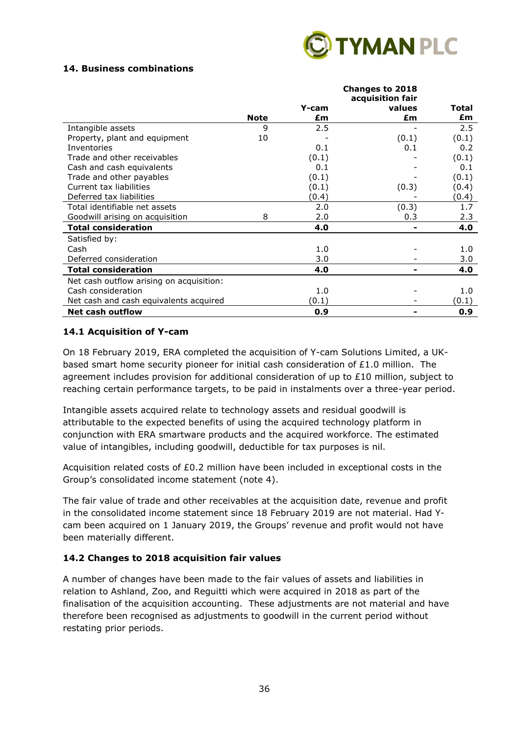

## **14. Business combinations**

|                                          |             |       | <b>Changes to 2018</b>     |              |
|------------------------------------------|-------------|-------|----------------------------|--------------|
|                                          |             | Y-cam | acquisition fair<br>values | <b>Total</b> |
|                                          | <b>Note</b> | £m    | £m                         | £m           |
|                                          |             |       |                            |              |
| Intangible assets                        | 9           | 2.5   |                            | 2.5          |
| Property, plant and equipment            | 10          |       | (0.1)                      | (0.1)        |
| Inventories                              |             | 0.1   | 0.1                        | 0.2          |
| Trade and other receivables              |             | (0.1) |                            | (0.1)        |
| Cash and cash equivalents                |             | 0.1   |                            | 0.1          |
| Trade and other payables                 |             | (0.1) |                            | (0.1)        |
| Current tax liabilities                  |             | (0.1) | (0.3)                      | (0.4)        |
| Deferred tax liabilities                 |             | (0.4) |                            | (0.4)        |
| Total identifiable net assets            |             | 2.0   | (0.3)                      | 1.7          |
| Goodwill arising on acquisition          | 8           | 2.0   | 0.3                        | 2.3          |
| <b>Total consideration</b>               |             | 4.0   |                            | 4.0          |
| Satisfied by:                            |             |       |                            |              |
| Cash                                     |             | 1.0   |                            | 1.0          |
| Deferred consideration                   |             | 3.0   |                            | 3.0          |
| <b>Total consideration</b>               |             | 4.0   |                            | 4.0          |
| Net cash outflow arising on acquisition: |             |       |                            |              |
| Cash consideration                       |             | 1.0   |                            | 1.0          |
| Net cash and cash equivalents acquired   |             | (0.1) |                            | (0.1)        |
| <b>Net cash outflow</b>                  |             | 0.9   |                            | 0.9          |

#### **14.1 Acquisition of Y-cam**

On 18 February 2019, ERA completed the acquisition of Y-cam Solutions Limited, a UKbased smart home security pioneer for initial cash consideration of  $£1.0$  million. The agreement includes provision for additional consideration of up to £10 million, subject to reaching certain performance targets, to be paid in instalments over a three-year period.

Intangible assets acquired relate to technology assets and residual goodwill is attributable to the expected benefits of using the acquired technology platform in conjunction with ERA smartware products and the acquired workforce. The estimated value of intangibles, including goodwill, deductible for tax purposes is nil.

Acquisition related costs of £0.2 million have been included in exceptional costs in the Group's consolidated income statement (note 4).

The fair value of trade and other receivables at the acquisition date, revenue and profit in the consolidated income statement since 18 February 2019 are not material. Had Ycam been acquired on 1 January 2019, the Groups' revenue and profit would not have been materially different.

## **14.2 Changes to 2018 acquisition fair values**

A number of changes have been made to the fair values of assets and liabilities in relation to Ashland, Zoo, and Reguitti which were acquired in 2018 as part of the finalisation of the acquisition accounting. These adjustments are not material and have therefore been recognised as adjustments to goodwill in the current period without restating prior periods.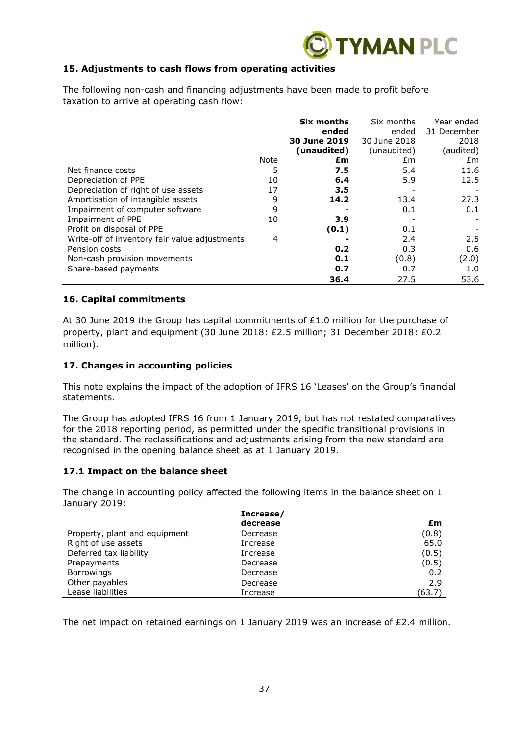

## **15. Adjustments to cash flows from operating activities**

The following non-cash and financing adjustments have been made to profit before taxation to arrive at operating cash flow:

|                                               |      | Six months   | Six months   | Year ended  |
|-----------------------------------------------|------|--------------|--------------|-------------|
|                                               |      | ended        | ended        | 31 December |
|                                               |      | 30 June 2019 | 30 June 2018 | 2018        |
|                                               |      | (unaudited)  | (unaudited)  | (audited)   |
|                                               | Note | £m           | £m           | £m          |
| Net finance costs                             | 5    | 7.5          | 5.4          | 11.6        |
| Depreciation of PPE                           | 10   | 6.4          | 5.9          | 12.5        |
| Depreciation of right of use assets           | 17   | 3.5          |              |             |
| Amortisation of intangible assets             | 9    | 14.2         | 13.4         | 27.3        |
| Impairment of computer software               | 9    |              | 0.1          | 0.1         |
| Impairment of PPE                             | 10   | 3.9          |              |             |
| Profit on disposal of PPE                     |      | (0.1)        | 0.1          |             |
| Write-off of inventory fair value adjustments | 4    |              | 2.4          | 2.5         |
| Pension costs                                 |      | 0.2          | 0.3          | 0.6         |
| Non-cash provision movements                  |      | 0.1          | (0.8)        | (2.0)       |
| Share-based payments                          |      | 0.7          | 0.7          | 1.0         |
|                                               |      | 36.4         | 27.5         | 53.6        |

#### **16. Capital commitments**

At 30 June 2019 the Group has capital commitments of  $£1.0$  million for the purchase of property, plant and equipment (30 June 2018: £2.5 million; 31 December 2018: £0.2 million).

#### **17. Changes in accounting policies**

This note explains the impact of the adoption of IFRS 16 'Leases' on the Group's financial statements.

The Group has adopted IFRS 16 from 1 January 2019, but has not restated comparatives for the 2018 reporting period, as permitted under the specific transitional provisions in the standard. The reclassifications and adjustments arising from the new standard are recognised in the opening balance sheet as at 1 January 2019.

#### **17.1 Impact on the balance sheet**

The change in accounting policy affected the following items in the balance sheet on 1 January 2019:

|                               | Increase/ |        |
|-------------------------------|-----------|--------|
|                               | decrease  | £m     |
| Property, plant and equipment | Decrease  | (0.8)  |
| Right of use assets           | Increase  | 65.0   |
| Deferred tax liability        | Increase  | (0.5)  |
| Prepayments                   | Decrease  | (0.5)  |
| <b>Borrowings</b>             | Decrease  | 0.2    |
| Other payables                | Decrease  | 2.9    |
| Lease liabilities             | Increase  | (63.7) |

The net impact on retained earnings on 1 January 2019 was an increase of  $E2.4$  million.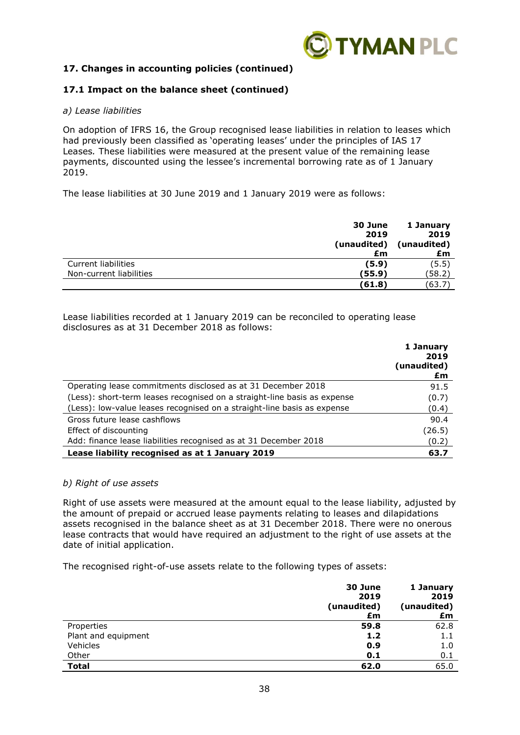

## **17. Changes in accounting policies (continued)**

## **17.1 Impact on the balance sheet (continued)**

#### *a) Lease liabilities*

On adoption of IFRS 16, the Group recognised lease liabilities in relation to leases which had previously been classified as 'operating leases' under the principles of IAS 17 Leases*.* These liabilities were measured at the present value of the remaining lease payments, discounted using the lessee's incremental borrowing rate as of 1 January 2019.

The lease liabilities at 30 June 2019 and 1 January 2019 were as follows:

|                         | 30 June<br>2019<br>(unaudited) | 1 January<br>2019<br>(unaudited) |
|-------------------------|--------------------------------|----------------------------------|
|                         | £m                             | £m                               |
| Current liabilities     | (5.9)                          | (5.5)                            |
| Non-current liabilities | (55.9)                         | (58.2                            |
|                         | (61.8)                         | (63.7)                           |

Lease liabilities recorded at 1 January 2019 can be reconciled to operating lease disclosures as at 31 December 2018 as follows:

|                                                                          | 1 January<br>2019<br>(unaudited)<br>£m |
|--------------------------------------------------------------------------|----------------------------------------|
| Operating lease commitments disclosed as at 31 December 2018             | 91.5                                   |
| (Less): short-term leases recognised on a straight-line basis as expense | (0.7)                                  |
| (Less): low-value leases recognised on a straight-line basis as expense  | (0.4)                                  |
| Gross future lease cashflows                                             | 90.4                                   |
| Effect of discounting                                                    | (26.5)                                 |
| Add: finance lease liabilities recognised as at 31 December 2018         | (0.2)                                  |
| Lease liability recognised as at 1 January 2019                          | 63.7                                   |

#### *b) Right of use assets*

Right of use assets were measured at the amount equal to the lease liability, adjusted by the amount of prepaid or accrued lease payments relating to leases and dilapidations assets recognised in the balance sheet as at 31 December 2018. There were no onerous lease contracts that would have required an adjustment to the right of use assets at the date of initial application.

The recognised right-of-use assets relate to the following types of assets:

|                     | 30 June<br>2019<br>(unaudited)<br>£m | 1 January<br>2019<br>(unaudited)<br>£m |
|---------------------|--------------------------------------|----------------------------------------|
| Properties          | 59.8                                 | 62.8                                   |
| Plant and equipment | 1.2                                  | $1.1\,$                                |
| Vehicles            | 0.9                                  | 1.0                                    |
| Other               | 0.1                                  | 0.1                                    |
| <b>Total</b>        | 62.0                                 | 65.0                                   |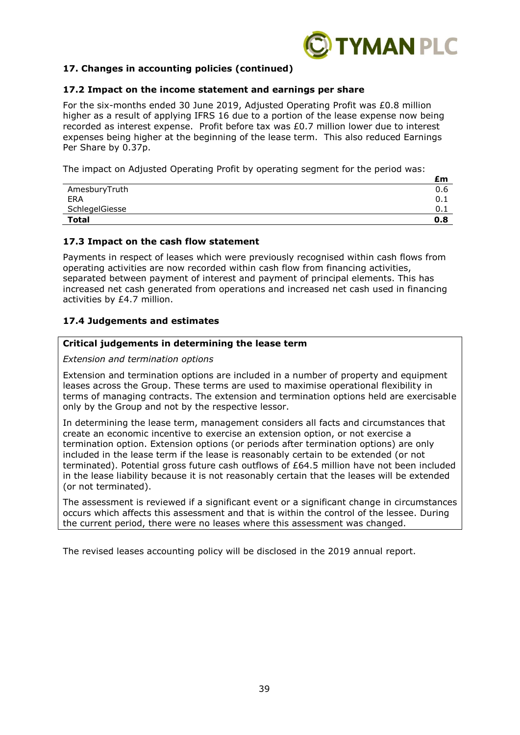

## **17. Changes in accounting policies (continued)**

#### **17.2 Impact on the income statement and earnings per share**

For the six-months ended 30 June 2019, Adjusted Operating Profit was £0.8 million higher as a result of applying IFRS 16 due to a portion of the lease expense now being recorded as interest expense. Profit before tax was £0.7 million lower due to interest expenses being higher at the beginning of the lease term. This also reduced Earnings Per Share by 0.37p.

The impact on Adjusted Operating Profit by operating segment for the period was:

|                | £m    |
|----------------|-------|
| AmesburyTruth  | 0.6   |
| ERA            | - 0.⊥ |
| SchlegelGiesse | 0.1   |
| <b>Total</b>   | 0.8   |

#### **17.3 Impact on the cash flow statement**

Payments in respect of leases which were previously recognised within cash flows from operating activities are now recorded within cash flow from financing activities, separated between payment of interest and payment of principal elements. This has increased net cash generated from operations and increased net cash used in financing activities by £4.7 million.

## **17.4 Judgements and estimates**

#### **Critical judgements in determining the lease term**

#### *Extension and termination options*

Extension and termination options are included in a number of property and equipment leases across the Group. These terms are used to maximise operational flexibility in terms of managing contracts. The extension and termination options held are exercisable only by the Group and not by the respective lessor.

In determining the lease term, management considers all facts and circumstances that create an economic incentive to exercise an extension option, or not exercise a termination option. Extension options (or periods after termination options) are only included in the lease term if the lease is reasonably certain to be extended (or not terminated). Potential gross future cash outflows of £64.5 million have not been included in the lease liability because it is not reasonably certain that the leases will be extended (or not terminated).

The assessment is reviewed if a significant event or a significant change in circumstances occurs which affects this assessment and that is within the control of the lessee. During the current period, there were no leases where this assessment was changed.

The revised leases accounting policy will be disclosed in the 2019 annual report.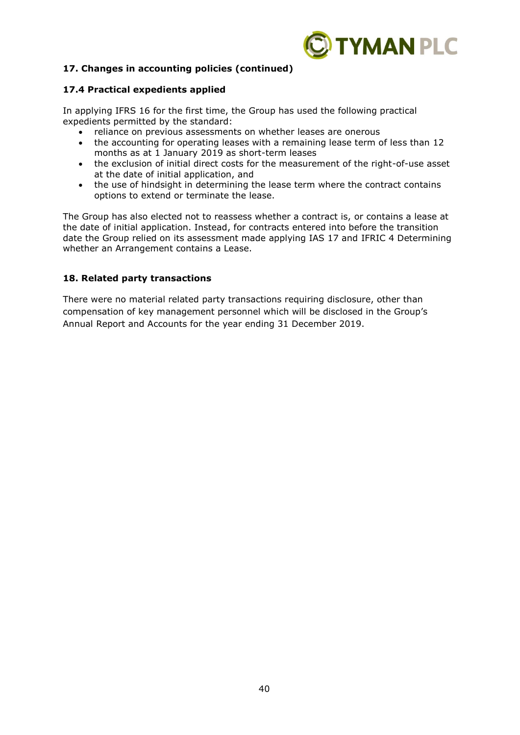

## **17. Changes in accounting policies (continued)**

## **17.4 Practical expedients applied**

In applying IFRS 16 for the first time, the Group has used the following practical expedients permitted by the standard:

- reliance on previous assessments on whether leases are onerous
- the accounting for operating leases with a remaining lease term of less than 12 months as at 1 January 2019 as short-term leases
- the exclusion of initial direct costs for the measurement of the right-of-use asset at the date of initial application, and
- the use of hindsight in determining the lease term where the contract contains options to extend or terminate the lease.

The Group has also elected not to reassess whether a contract is, or contains a lease at the date of initial application. Instead, for contracts entered into before the transition date the Group relied on its assessment made applying IAS 17 and IFRIC 4 Determining whether an Arrangement contains a Lease.

## **18. Related party transactions**

There were no material related party transactions requiring disclosure, other than compensation of key management personnel which will be disclosed in the Group's Annual Report and Accounts for the year ending 31 December 2019.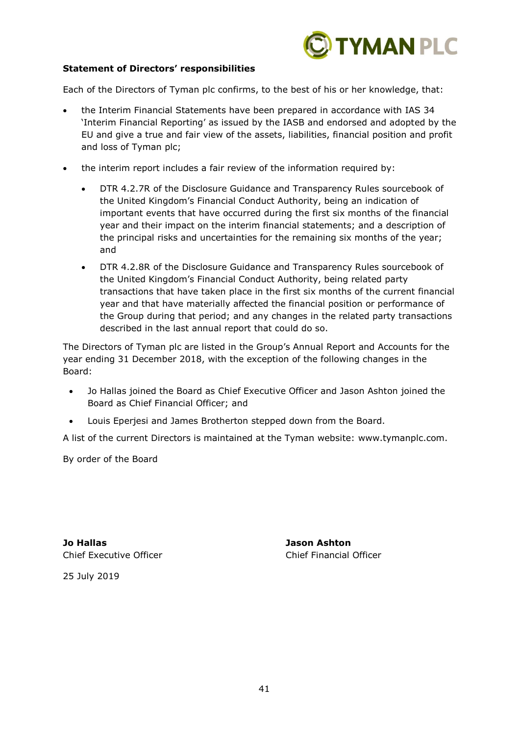

## **Statement of Directors' responsibilities**

Each of the Directors of Tyman plc confirms, to the best of his or her knowledge, that:

- the Interim Financial Statements have been prepared in accordance with IAS 34 'Interim Financial Reporting' as issued by the IASB and endorsed and adopted by the EU and give a true and fair view of the assets, liabilities, financial position and profit and loss of Tyman plc;
- the interim report includes a fair review of the information required by:
	- DTR 4.2.7R of the Disclosure Guidance and Transparency Rules sourcebook of the United Kingdom's Financial Conduct Authority, being an indication of important events that have occurred during the first six months of the financial year and their impact on the interim financial statements; and a description of the principal risks and uncertainties for the remaining six months of the year; and
	- DTR 4.2.8R of the Disclosure Guidance and Transparency Rules sourcebook of the United Kingdom's Financial Conduct Authority, being related party transactions that have taken place in the first six months of the current financial year and that have materially affected the financial position or performance of the Group during that period; and any changes in the related party transactions described in the last annual report that could do so.

The Directors of Tyman plc are listed in the Group's Annual Report and Accounts for the year ending 31 December 2018, with the exception of the following changes in the Board:

- Jo Hallas joined the Board as Chief Executive Officer and Jason Ashton joined the Board as Chief Financial Officer; and
- Louis Eperjesi and James Brotherton stepped down from the Board.

A list of the current Directors is maintained at the Tyman website: www.tymanplc.com.

By order of the Board

**Jo Hallas Jason Ashton** Chief Executive Officer Chief Financial Officer

25 July 2019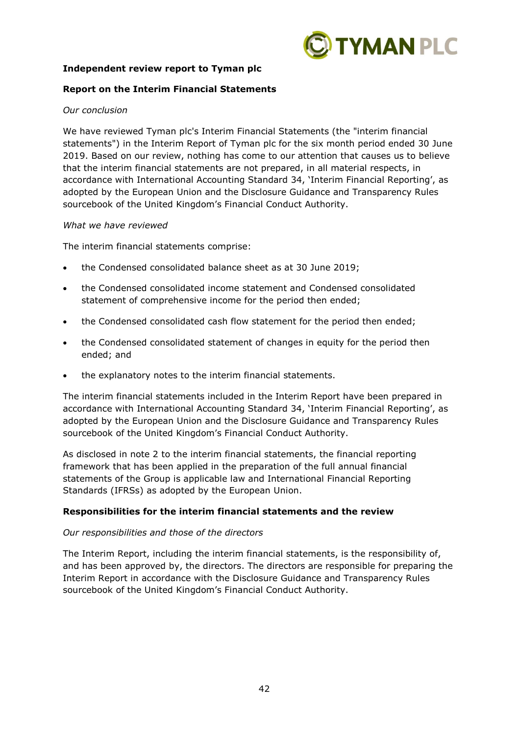

## **Independent review report to Tyman plc**

### **Report on the Interim Financial Statements**

#### *Our conclusion*

We have reviewed Tyman plc's Interim Financial Statements (the "interim financial statements") in the Interim Report of Tyman plc for the six month period ended 30 June 2019. Based on our review, nothing has come to our attention that causes us to believe that the interim financial statements are not prepared, in all material respects, in accordance with International Accounting Standard 34, 'Interim Financial Reporting', as adopted by the European Union and the Disclosure Guidance and Transparency Rules sourcebook of the United Kingdom's Financial Conduct Authority.

#### *What we have reviewed*

The interim financial statements comprise:

- the Condensed consolidated balance sheet as at 30 June 2019;
- the Condensed consolidated income statement and Condensed consolidated statement of comprehensive income for the period then ended;
- the Condensed consolidated cash flow statement for the period then ended;
- the Condensed consolidated statement of changes in equity for the period then ended; and
- the explanatory notes to the interim financial statements.

The interim financial statements included in the Interim Report have been prepared in accordance with International Accounting Standard 34, 'Interim Financial Reporting', as adopted by the European Union and the Disclosure Guidance and Transparency Rules sourcebook of the United Kingdom's Financial Conduct Authority.

As disclosed in note 2 to the interim financial statements, the financial reporting framework that has been applied in the preparation of the full annual financial statements of the Group is applicable law and International Financial Reporting Standards (IFRSs) as adopted by the European Union.

## **Responsibilities for the interim financial statements and the review**

#### *Our responsibilities and those of the directors*

The Interim Report, including the interim financial statements, is the responsibility of, and has been approved by, the directors. The directors are responsible for preparing the Interim Report in accordance with the Disclosure Guidance and Transparency Rules sourcebook of the United Kingdom's Financial Conduct Authority.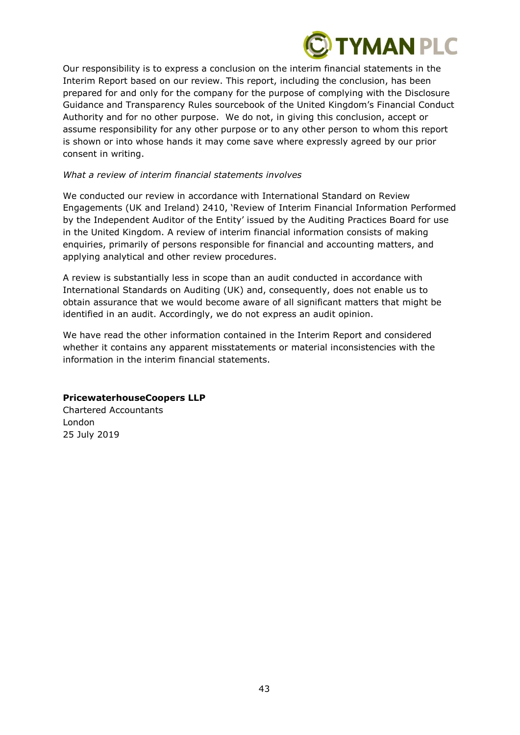

Our responsibility is to express a conclusion on the interim financial statements in the Interim Report based on our review. This report, including the conclusion, has been prepared for and only for the company for the purpose of complying with the Disclosure Guidance and Transparency Rules sourcebook of the United Kingdom's Financial Conduct Authority and for no other purpose. We do not, in giving this conclusion, accept or assume responsibility for any other purpose or to any other person to whom this report is shown or into whose hands it may come save where expressly agreed by our prior consent in writing.

#### *What a review of interim financial statements involves*

We conducted our review in accordance with International Standard on Review Engagements (UK and Ireland) 2410, 'Review of Interim Financial Information Performed by the Independent Auditor of the Entity' issued by the Auditing Practices Board for use in the United Kingdom. A review of interim financial information consists of making enquiries, primarily of persons responsible for financial and accounting matters, and applying analytical and other review procedures.

A review is substantially less in scope than an audit conducted in accordance with International Standards on Auditing (UK) and, consequently, does not enable us to obtain assurance that we would become aware of all significant matters that might be identified in an audit. Accordingly, we do not express an audit opinion.

We have read the other information contained in the Interim Report and considered whether it contains any apparent misstatements or material inconsistencies with the information in the interim financial statements.

## **PricewaterhouseCoopers LLP**

Chartered Accountants London 25 July 2019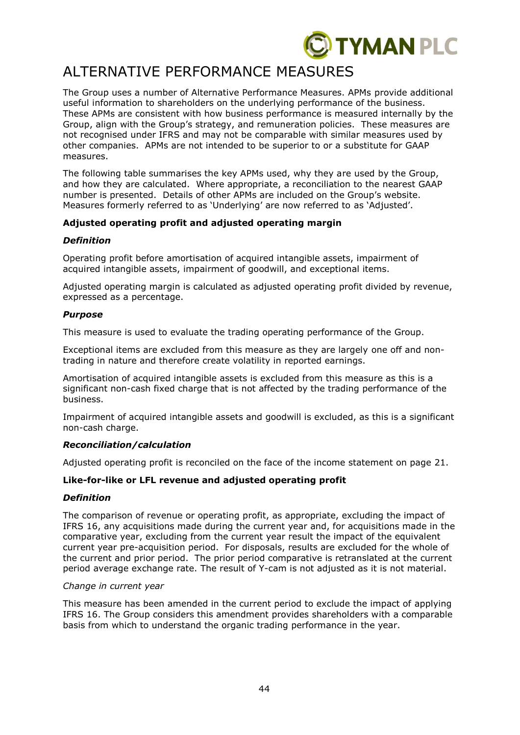

# ALTERNATIVE PERFORMANCE MEASURES

The Group uses a number of Alternative Performance Measures. APMs provide additional useful information to shareholders on the underlying performance of the business. These APMs are consistent with how business performance is measured internally by the Group, align with the Group's strategy, and remuneration policies. These measures are not recognised under IFRS and may not be comparable with similar measures used by other companies. APMs are not intended to be superior to or a substitute for GAAP measures.

The following table summarises the key APMs used, why they are used by the Group, and how they are calculated. Where appropriate, a reconciliation to the nearest GAAP number is presented. Details of other APMs are included on the Group's website. Measures formerly referred to as 'Underlying' are now referred to as 'Adjusted'.

## **Adjusted operating profit and adjusted operating margin**

## *Definition*

Operating profit before amortisation of acquired intangible assets, impairment of acquired intangible assets, impairment of goodwill, and exceptional items.

Adjusted operating margin is calculated as adjusted operating profit divided by revenue, expressed as a percentage.

## *Purpose*

This measure is used to evaluate the trading operating performance of the Group.

Exceptional items are excluded from this measure as they are largely one off and nontrading in nature and therefore create volatility in reported earnings.

Amortisation of acquired intangible assets is excluded from this measure as this is a significant non-cash fixed charge that is not affected by the trading performance of the business.

Impairment of acquired intangible assets and goodwill is excluded, as this is a significant non-cash charge.

## *Reconciliation/calculation*

Adjusted operating profit is reconciled on the face of the income statement on page 21.

## **Like-for-like or LFL revenue and adjusted operating profit**

## *Definition*

The comparison of revenue or operating profit, as appropriate, excluding the impact of IFRS 16, any acquisitions made during the current year and, for acquisitions made in the comparative year, excluding from the current year result the impact of the equivalent current year pre-acquisition period. For disposals, results are excluded for the whole of the current and prior period. The prior period comparative is retranslated at the current period average exchange rate. The result of Y-cam is not adjusted as it is not material.

## *Change in current year*

This measure has been amended in the current period to exclude the impact of applying IFRS 16. The Group considers this amendment provides shareholders with a comparable basis from which to understand the organic trading performance in the year.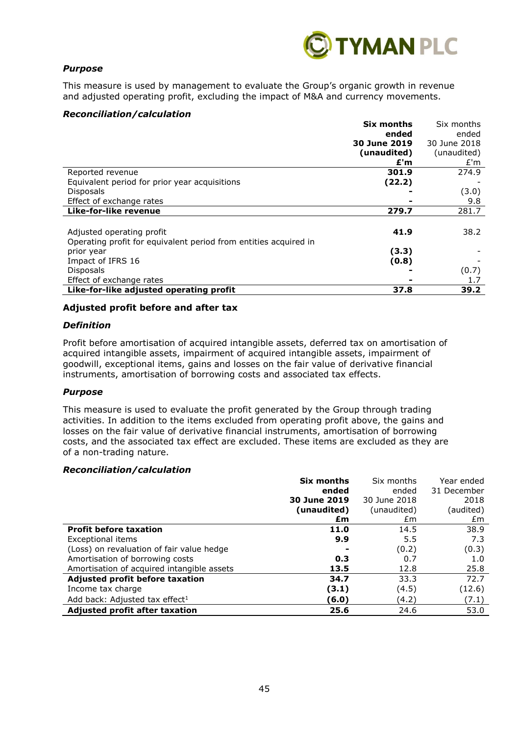

## *Purpose*

This measure is used by management to evaluate the Group's organic growth in revenue and adjusted operating profit, excluding the impact of M&A and currency movements.

### *Reconciliation/calculation*

|                                                                  | Six months   | Six months   |
|------------------------------------------------------------------|--------------|--------------|
|                                                                  | ended        | ended        |
|                                                                  | 30 June 2019 | 30 June 2018 |
|                                                                  | (unaudited)  | (unaudited)  |
|                                                                  | £'m          | E'm          |
| Reported revenue                                                 | 301.9        | 274.9        |
| Equivalent period for prior year acquisitions                    | (22.2)       |              |
| <b>Disposals</b>                                                 |              | (3.0)        |
| Effect of exchange rates                                         |              | 9.8          |
| Like-for-like revenue                                            | 279.7        | 281.7        |
|                                                                  |              |              |
| Adjusted operating profit                                        | 41.9         | 38.2         |
| Operating profit for equivalent period from entities acquired in |              |              |
| prior year                                                       | (3.3)        |              |
| Impact of IFRS 16                                                | (0.8)        |              |
| <b>Disposals</b>                                                 |              | (0.7)        |
| Effect of exchange rates                                         |              | 1.7          |
| Like-for-like adjusted operating profit                          | 37.8         | 39.2         |

#### **Adjusted profit before and after tax**

#### *Definition*

Profit before amortisation of acquired intangible assets, deferred tax on amortisation of acquired intangible assets, impairment of acquired intangible assets, impairment of goodwill, exceptional items, gains and losses on the fair value of derivative financial instruments, amortisation of borrowing costs and associated tax effects.

#### *Purpose*

This measure is used to evaluate the profit generated by the Group through trading activities. In addition to the items excluded from operating profit above, the gains and losses on the fair value of derivative financial instruments, amortisation of borrowing costs, and the associated tax effect are excluded. These items are excluded as they are of a non-trading nature.

#### *Reconciliation/calculation*

|                                            | Six months   | Six months   | Year ended  |
|--------------------------------------------|--------------|--------------|-------------|
|                                            | ended        | ended        | 31 December |
|                                            | 30 June 2019 | 30 June 2018 | 2018        |
|                                            | (unaudited)  | (unaudited)  | (audited)   |
|                                            | £m           | £m           | £m          |
| <b>Profit before taxation</b>              | 11.0         | 14.5         | 38.9        |
| Exceptional items                          | 9.9          | 5.5          | 7.3         |
| (Loss) on revaluation of fair value hedge  |              | (0.2)        | (0.3)       |
| Amortisation of borrowing costs            | 0.3          | 0.7          | 1.0         |
| Amortisation of acquired intangible assets | 13.5         | 12.8         | 25.8        |
| Adjusted profit before taxation            | 34.7         | 33.3         | 72.7        |
| Income tax charge                          | (3.1)        | (4.5)        | (12.6)      |
| Add back: Adjusted tax effect <sup>1</sup> | (6.0)        | (4.2)        | (7.1)       |
| <b>Adjusted profit after taxation</b>      | 25.6         | 24.6         | 53.0        |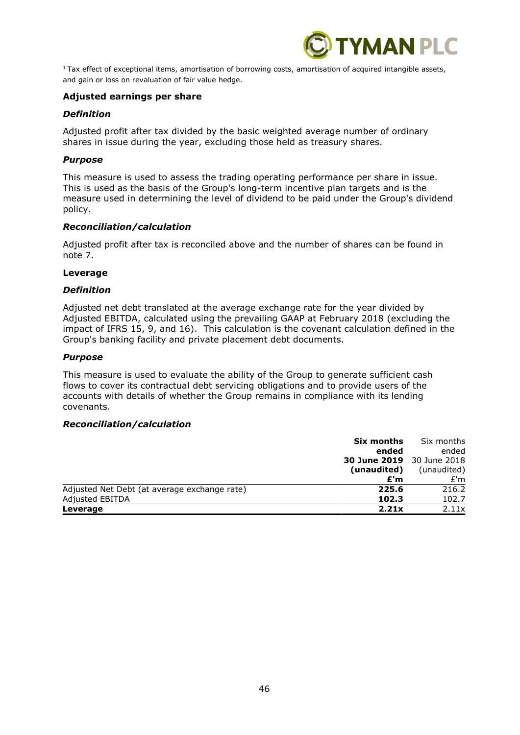

 $1$ Tax effect of exceptional items, amortisation of borrowing costs, amortisation of acquired intangible assets, and gain or loss on revaluation of fair value hedge.

#### **Adjusted earnings per share**

#### *Definition*

Adjusted profit after tax divided by the basic weighted average number of ordinary shares in issue during the year, excluding those held as treasury shares.

#### *Purpose*

This measure is used to assess the trading operating performance per share in issue. This is used as the basis of the Group's long-term incentive plan targets and is the measure used in determining the level of dividend to be paid under the Group's dividend policy.

#### *Reconciliation/calculation*

Adjusted profit after tax is reconciled above and the number of shares can be found in note 7.

#### **Leverage**

#### *Definition*

Adjusted net debt translated at the average exchange rate for the year divided by Adjusted EBITDA, calculated using the prevailing GAAP at February 2018 (excluding the impact of IFRS 15, 9, and 16). This calculation is the covenant calculation defined in the Group's banking facility and private placement debt documents.

#### *Purpose*

This measure is used to evaluate the ability of the Group to generate sufficient cash flows to cover its contractual debt servicing obligations and to provide users of the accounts with details of whether the Group remains in compliance with its lending covenants.

#### *Reconciliation/calculation*

| Six months                                            | Six months  |
|-------------------------------------------------------|-------------|
| ended                                                 | ended       |
| <b>30 June 2019</b> 30 June 2018                      |             |
| (unaudited)                                           | (unaudited) |
| £'m                                                   | E'm         |
| Adjusted Net Debt (at average exchange rate)<br>225.6 | 216.2       |
| Adjusted EBITDA<br>102.3                              | 102.7       |
| 2.21x<br>Leverage                                     | 2.11x       |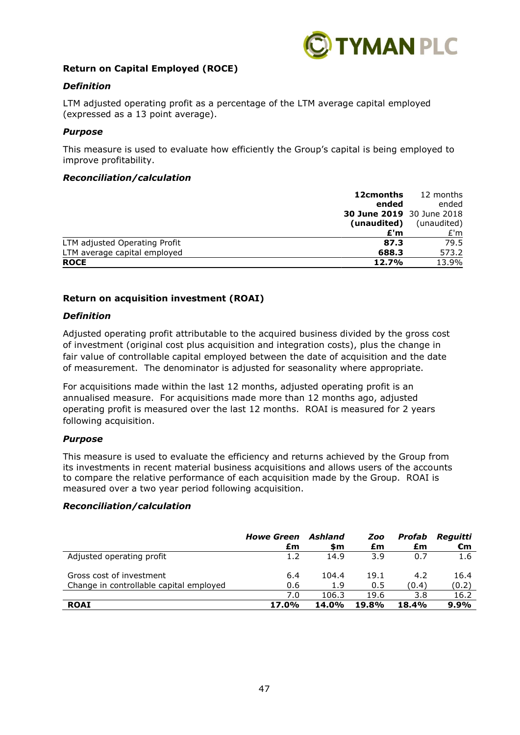

## **Return on Capital Employed (ROCE)**

## *Definition*

LTM adjusted operating profit as a percentage of the LTM average capital employed (expressed as a 13 point average).

#### *Purpose*

This measure is used to evaluate how efficiently the Group's capital is being employed to improve profitability.

#### *Reconciliation/calculation*

| 12cmonths                             | 12 months   |
|---------------------------------------|-------------|
| ended                                 | ended       |
| <b>30 June 2019</b> 30 June 2018      |             |
| (unaudited)                           | (unaudited) |
| £'m                                   | E'm         |
| LTM adjusted Operating Profit<br>87.3 | 79.5        |
| LTM average capital employed<br>688.3 | 573.2       |
| <b>ROCE</b><br>12.7%                  | 13.9%       |

#### **Return on acquisition investment (ROAI)**

#### *Definition*

Adjusted operating profit attributable to the acquired business divided by the gross cost of investment (original cost plus acquisition and integration costs), plus the change in fair value of controllable capital employed between the date of acquisition and the date of measurement. The denominator is adjusted for seasonality where appropriate.

For acquisitions made within the last 12 months, adjusted operating profit is an annualised measure. For acquisitions made more than 12 months ago, adjusted operating profit is measured over the last 12 months. ROAI is measured for 2 years following acquisition.

#### *Purpose*

This measure is used to evaluate the efficiency and returns achieved by the Group from its investments in recent material business acquisitions and allows users of the accounts to compare the relative performance of each acquisition made by the Group. ROAI is measured over a two year period following acquisition.

#### *Reconciliation/calculation*

|                                         | <b>Howe Green</b><br>£m | Ashland<br>\$m | Zoo<br>£m    | Profab<br>£m | Reguitti<br>€m |
|-----------------------------------------|-------------------------|----------------|--------------|--------------|----------------|
| Adjusted operating profit               | 1.2                     | 14.9           | 3.9          | 0.7          | 1.6            |
| Gross cost of investment                | 6.4                     | 104.4          | 19.1         | 4.2          | 16.4           |
| Change in controllable capital employed | 0.6                     | 1.9            | 0.5          | (0.4)        | (0.2)          |
|                                         | 7.0                     | 106.3          | 19.6         | 3.8          | 16.2           |
| <b>ROAI</b>                             | 17.0%                   | <b>14.0%</b>   | <b>19.8%</b> | 18.4%        | $9.9\%$        |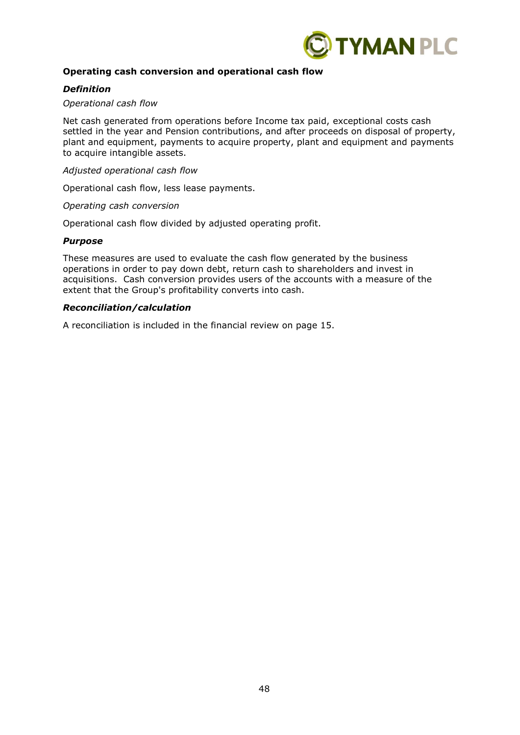

## **Operating cash conversion and operational cash flow**

#### *Definition*

#### *Operational cash flow*

Net cash generated from operations before Income tax paid, exceptional costs cash settled in the year and Pension contributions, and after proceeds on disposal of property, plant and equipment, payments to acquire property, plant and equipment and payments to acquire intangible assets.

*Adjusted operational cash flow* 

Operational cash flow, less lease payments.

*Operating cash conversion*

Operational cash flow divided by adjusted operating profit.

#### *Purpose*

These measures are used to evaluate the cash flow generated by the business operations in order to pay down debt, return cash to shareholders and invest in acquisitions. Cash conversion provides users of the accounts with a measure of the extent that the Group's profitability converts into cash.

## *Reconciliation/calculation*

A reconciliation is included in the financial review on page 15.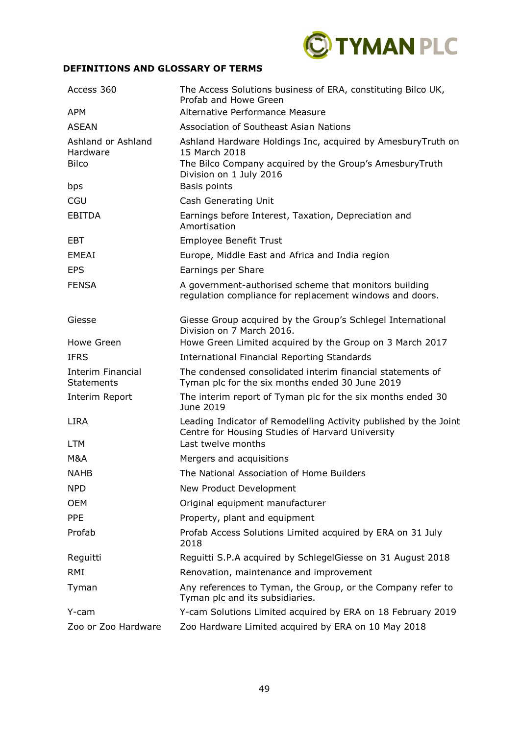

## **DEFINITIONS AND GLOSSARY OF TERMS**

| Access 360                                     | The Access Solutions business of ERA, constituting Bilco UK,<br>Profab and Howe Green                                                                              |
|------------------------------------------------|--------------------------------------------------------------------------------------------------------------------------------------------------------------------|
| <b>APM</b>                                     | Alternative Performance Measure                                                                                                                                    |
| <b>ASEAN</b>                                   | Association of Southeast Asian Nations                                                                                                                             |
| Ashland or Ashland<br>Hardware<br><b>Bilco</b> | Ashland Hardware Holdings Inc, acquired by AmesburyTruth on<br>15 March 2018<br>The Bilco Company acquired by the Group's AmesburyTruth<br>Division on 1 July 2016 |
| bps                                            | Basis points                                                                                                                                                       |
| CGU                                            | Cash Generating Unit                                                                                                                                               |
| <b>EBITDA</b>                                  | Earnings before Interest, Taxation, Depreciation and<br>Amortisation                                                                                               |
| EBT                                            | <b>Employee Benefit Trust</b>                                                                                                                                      |
| EMEAI                                          | Europe, Middle East and Africa and India region                                                                                                                    |
| <b>EPS</b>                                     | Earnings per Share                                                                                                                                                 |
| <b>FENSA</b>                                   | A government-authorised scheme that monitors building<br>regulation compliance for replacement windows and doors.                                                  |
| Giesse                                         | Giesse Group acquired by the Group's Schlegel International<br>Division on 7 March 2016.                                                                           |
| Howe Green                                     | Howe Green Limited acquired by the Group on 3 March 2017                                                                                                           |
| <b>IFRS</b>                                    | <b>International Financial Reporting Standards</b>                                                                                                                 |
| <b>Interim Financial</b><br><b>Statements</b>  | The condensed consolidated interim financial statements of<br>Tyman plc for the six months ended 30 June 2019                                                      |
| Interim Report                                 | The interim report of Tyman plc for the six months ended 30<br>June 2019                                                                                           |
| <b>LIRA</b>                                    | Leading Indicator of Remodelling Activity published by the Joint<br>Centre for Housing Studies of Harvard University                                               |
| <b>LTM</b>                                     | Last twelve months                                                                                                                                                 |
| M&A                                            | Mergers and acquisitions                                                                                                                                           |
| <b>NAHB</b>                                    | The National Association of Home Builders                                                                                                                          |
| <b>NPD</b>                                     | New Product Development                                                                                                                                            |
| <b>OEM</b>                                     | Original equipment manufacturer                                                                                                                                    |
| <b>PPE</b>                                     | Property, plant and equipment                                                                                                                                      |
| Profab                                         | Profab Access Solutions Limited acquired by ERA on 31 July<br>2018                                                                                                 |
| Reguitti                                       | Reguitti S.P.A acquired by SchlegelGiesse on 31 August 2018                                                                                                        |
| <b>RMI</b>                                     | Renovation, maintenance and improvement                                                                                                                            |
| Tyman                                          | Any references to Tyman, the Group, or the Company refer to<br>Tyman plc and its subsidiaries.                                                                     |
| Y-cam                                          | Y-cam Solutions Limited acquired by ERA on 18 February 2019                                                                                                        |
| Zoo or Zoo Hardware                            | Zoo Hardware Limited acquired by ERA on 10 May 2018                                                                                                                |